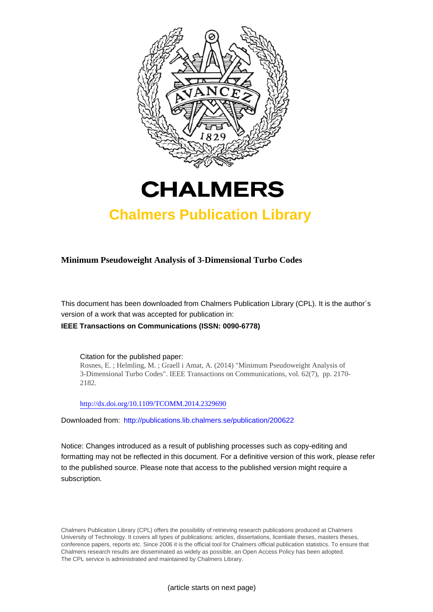



## **Chalmers Publication Library**

**Minimum Pseudoweight Analysis of 3-Dimensional Turbo Codes**

This document has been downloaded from Chalmers Publication Library (CPL). It is the author´s version of a work that was accepted for publication in:

**IEEE Transactions on Communications (ISSN: 0090-6778)**

Citation for the published paper: Rosnes, E. ; Helmling, M. ; Graell i Amat, A. (2014) "Minimum Pseudoweight Analysis of 3-Dimensional Turbo Codes". IEEE Transactions on Communications, vol. 62(7), pp. 2170- 2182.

<http://dx.doi.org/10.1109/TCOMM.2014.2329690>

Downloaded from: <http://publications.lib.chalmers.se/publication/200622>

Notice: Changes introduced as a result of publishing processes such as copy-editing and formatting may not be reflected in this document. For a definitive version of this work, please refer to the published source. Please note that access to the published version might require a subscription.

Chalmers Publication Library (CPL) offers the possibility of retrieving research publications produced at Chalmers University of Technology. It covers all types of publications: articles, dissertations, licentiate theses, masters theses, conference papers, reports etc. Since 2006 it is the official tool for Chalmers official publication statistics. To ensure that Chalmers research results are disseminated as widely as possible, an Open Access Policy has been adopted. The CPL service is administrated and maintained by Chalmers Library.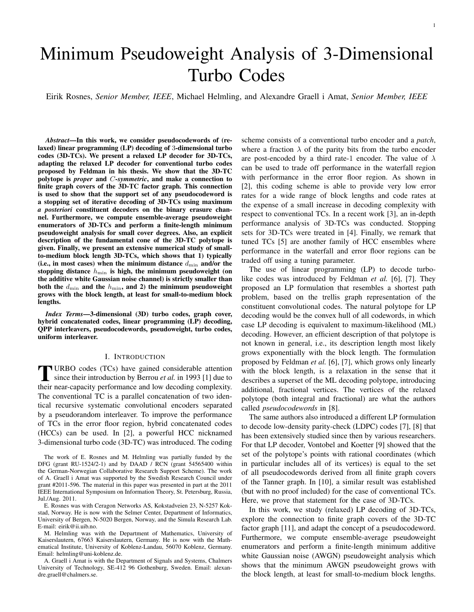# Minimum Pseudoweight Analysis of 3-Dimensional Turbo Codes

Eirik Rosnes, *Senior Member, IEEE*, Michael Helmling, and Alexandre Graell i Amat, *Senior Member, IEEE*

*Abstract*—In this work, we consider pseudocodewords of (relaxed) linear programming (LP) decoding of 3-dimensional turbo codes (3D-TCs). We present a relaxed LP decoder for 3D-TCs, adapting the relaxed LP decoder for conventional turbo codes proposed by Feldman in his thesis. We show that the 3D-TC polytope is *proper* and C*-symmetric*, and make a connection to finite graph covers of the 3D-TC factor graph. This connection is used to show that the support set of any pseudocodeword is a stopping set of iterative decoding of 3D-TCs using maximum *a posteriori* constituent decoders on the binary erasure channel. Furthermore, we compute ensemble-average pseudoweight enumerators of 3D-TCs and perform a finite-length minimum pseudoweight analysis for small cover degrees. Also, an explicit description of the fundamental cone of the 3D-TC polytope is given. Finally, we present an extensive numerical study of smallto-medium block length 3D-TCs, which shows that 1) typically (i.e., in most cases) when the minimum distance  $d_{\min}$  and/or the stopping distance  $h_{\min}$  is high, the minimum pseudoweight (on the additive white Gaussian noise channel) is strictly smaller than both the  $d_{\min}$  and the  $h_{\min}$ , and 2) the minimum pseudoweight grows with the block length, at least for small-to-medium block lengths.

*Index Terms*—3-dimensional (3D) turbo codes, graph cover, hybrid concatenated codes, linear programming (LP) decoding, QPP interleavers, pseudocodewords, pseudoweight, turbo codes, uniform interleaver.

#### I. INTRODUCTION

**TURBO** codes (TCs) have gained considerable attention since their introduction by Berrou *et al.* in 1993 [1] due to URBO codes (TCs) have gained considerable attention their near-capacity performance and low decoding complexity. The conventional TC is a parallel concatenation of two identical recursive systematic convolutional encoders separated by a pseudorandom interleaver. To improve the performance of TCs in the error floor region, hybrid concatenated codes (HCCs) can be used. In [2], a powerful HCC nicknamed 3-dimensional turbo code (3D-TC) was introduced. The coding

E. Rosnes was with Ceragon Networks AS, Kokstadveien 23, N-5257 Kokstad, Norway. He is now with the Selmer Center, Department of Informatics, University of Bergen, N-5020 Bergen, Norway, and the Simula Research Lab. E-mail: eirik@ii.uib.no.

M. Helmling was with the Department of Mathematics, University of Kaiserslautern, 67663 Kaiserslautern, Germany. He is now with the Mathematical Institute, University of Koblenz-Landau, 56070 Koblenz, Germany. Email: helmling@uni-koblenz.de.

A. Graell i Amat is with the Department of Signals and Systems, Chalmers University of Technology, SE-412 96 Gothenburg, Sweden. Email: alexandre.graell@chalmers.se.

scheme consists of a conventional turbo encoder and a *patch*, where a fraction  $\lambda$  of the parity bits from the turbo encoder are post-encoded by a third rate-1 encoder. The value of  $\lambda$ can be used to trade off performance in the waterfall region with performance in the error floor region. As shown in [2], this coding scheme is able to provide very low error rates for a wide range of block lengths and code rates at the expense of a small increase in decoding complexity with respect to conventional TCs. In a recent work [3], an in-depth performance analysis of 3D-TCs was conducted. Stopping sets for 3D-TCs were treated in [4]. Finally, we remark that tuned TCs [5] are another family of HCC ensembles where performance in the waterfall and error floor regions can be traded off using a tuning parameter.

The use of linear programming (LP) to decode turbolike codes was introduced by Feldman *et al.* [6], [7]. They proposed an LP formulation that resembles a shortest path problem, based on the trellis graph representation of the constituent convolutional codes. The natural polytope for LP decoding would be the convex hull of all codewords, in which case LP decoding is equivalent to maximum-likelihood (ML) decoding. However, an efficient description of that polytope is not known in general, i.e., its description length most likely grows exponentially with the block length. The formulation proposed by Feldman *et al.* [6], [7], which grows only linearly with the block length, is a relaxation in the sense that it describes a superset of the ML decoding polytope, introducing additional, fractional vertices. The vertices of the relaxed polytope (both integral and fractional) are what the authors called *pseudocodewords* in [8].

The same authors also introduced a different LP formulation to decode low-density parity-check (LDPC) codes [7], [8] that has been extensively studied since then by various researchers. For that LP decoder, Vontobel and Koetter [9] showed that the set of the polytope's points with rational coordinates (which in particular includes all of its vertices) is equal to the set of all pseudocodewords derived from all finite graph covers of the Tanner graph. In [10], a similar result was established (but with no proof included) for the case of conventional TCs. Here, we prove that statement for the case of 3D-TCs.

In this work, we study (relaxed) LP decoding of 3D-TCs, explore the connection to finite graph covers of the 3D-TC factor graph [11], and adapt the concept of a pseudocodeword. Furthermore, we compute ensemble-average pseudoweight enumerators and perform a finite-length minimum additive white Gaussian noise (AWGN) pseudoweight analysis which shows that the minimum AWGN pseudoweight grows with the block length, at least for small-to-medium block lengths.

The work of E. Rosnes and M. Helmling was partially funded by the DFG (grant RU-1524/2-1) and by DAAD / RCN (grant 54565400 within the German-Norwegian Collaborative Research Support Scheme). The work of A. Graell i Amat was supported by the Swedish Research Council under grant #2011-596. The material in this paper was presented in part at the 2011 IEEE International Symposium on Information Theory, St. Petersburg, Russia, Jul./Aug. 2011.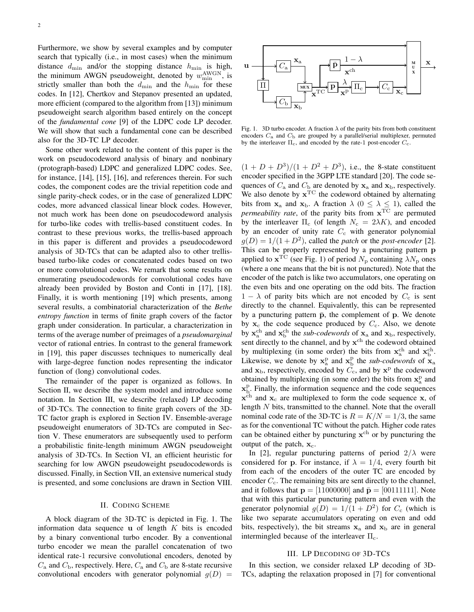Furthermore, we show by several examples and by computer search that typically (i.e., in most cases) when the minimum distance  $d_{\min}$  and/or the stopping distance  $h_{\min}$  is high, the minimum AWGN pseudoweight, denoted by  $w_{\min}^{\text{AWGN}}$ , is strictly smaller than both the  $d_{\min}$  and the  $h_{\min}$  for these codes. In [12], Chertkov and Stepanov presented an updated, more efficient (compared to the algorithm from [13]) minimum pseudoweight search algorithm based entirely on the concept of the *fundamental cone* [9] of the LDPC code LP decoder. We will show that such a fundamental cone can be described also for the 3D-TC LP decoder.

Some other work related to the content of this paper is the work on pseudocodeword analysis of binary and nonbinary (protograph-based) LDPC and generalized LDPC codes. See, for instance, [14], [15], [16], and references therein. For such codes, the component codes are the trivial repetition code and single parity-check codes, or in the case of generalized LDPC codes, more advanced classical linear block codes. However, not much work has been done on pseudocodeword analysis for turbo-like codes with trellis-based constituent codes. In contrast to these previous works, the trellis-based approach in this paper is different and provides a pseudocodeword analysis of 3D-TCs that can be adapted also to other trellisbased turbo-like codes or concatenated codes based on two or more convolutional codes. We remark that some results on enumerating pseudocodewords for convolutional codes have already been provided by Boston and Conti in [17], [18]. Finally, it is worth mentioning [19] which presents, among several results, a combinatorial characterization of the *Bethe entropy function* in terms of finite graph covers of the factor graph under consideration. In particular, a characterization in terms of the average number of preimages of a *pseudomarginal* vector of rational entries. In contrast to the general framework in [19], this paper discusses techniques to numerically deal with large-degree function nodes representing the indicator function of (long) convolutional codes.

The remainder of the paper is organized as follows. In Section II, we describe the system model and introduce some notation. In Section III, we describe (relaxed) LP decoding of 3D-TCs. The connection to finite graph covers of the 3D-TC factor graph is explored in Section IV. Ensemble-average pseudoweight enumerators of 3D-TCs are computed in Section V. These enumerators are subsequently used to perform a probabilistic finite-length minimum AWGN pseudoweight analysis of 3D-TCs. In Section VI, an efficient heuristic for searching for low AWGN pseudoweight pseudocodewords is discussed. Finally, in Section VII, an extensive numerical study is presented, and some conclusions are drawn in Section VIII.

#### II. CODING SCHEME

A block diagram of the 3D-TC is depicted in Fig. 1. The information data sequence  $\bf{u}$  of length K bits is encoded by a binary conventional turbo encoder. By a conventional turbo encoder we mean the parallel concatenation of two identical rate-1 recursive convolutional encoders, denoted by  $C_a$  and  $C_b$ , respectively. Here,  $C_a$  and  $C_b$  are 8-state recursive convolutional encoders with generator polynomial  $g(D)$  =



Fig. 1. 3D turbo encoder. A fraction  $\lambda$  of the parity bits from both constituent encoders  $C_a$  and  $C_b$  are grouped by a parallel/serial multiplexer, permuted by the interleaver  $\Pi_c$ , and encoded by the rate-1 post-encoder  $C_c$ .

 $(1 + D + D^3)/(1 + D^2 + D^3)$ , i.e., the 8-state constituent encoder specified in the 3GPP LTE standard [20]. The code sequences of  $C_a$  and  $C_b$  are denoted by  $x_a$  and  $x_b$ , respectively. We also denote by  $x^{TC}$  the codeword obtained by alternating bits from  $x_a$  and  $x_b$ . A fraction  $\lambda$  ( $0 \le \lambda \le 1$ ), called the *permeability rate*, of the parity bits from x TC are permuted by the interleaver  $\Pi_c$  (of length  $N_c = 2\lambda K$ ), and encoded by an encoder of unity rate  $C_c$  with generator polynomial  $g(D) = 1/(1 + D<sup>2</sup>)$ , called the *patch* or the *post-encoder* [2]. This can be properly represented by a puncturing pattern p applied to  $\mathbf{x}^{\text{TC}}$  (see Fig. 1) of period  $N_{\text{p}}$  containing  $\lambda N_{\text{p}}$  ones (where a one means that the bit is not punctured). Note that the encoder of the patch is like two accumulators, one operating on the even bits and one operating on the odd bits. The fraction  $1 - \lambda$  of parity bits which are not encoded by  $C_c$  is sent directly to the channel. Equivalently, this can be represented by a puncturing pattern  $\bar{p}$ , the complement of  $p$ . We denote by  $x_c$  the code sequence produced by  $C_c$ . Also, we denote by  $\mathbf{x}_a^{\text{ch}}$  and  $\mathbf{x}_b^{\text{ch}}$  the *sub-codewords* of  $\mathbf{x}_a$  and  $\mathbf{x}_b$ , respectively, sent directly to the channel, and by  $x<sup>ch</sup>$  the codeword obtained by multiplexing (in some order) the bits from  $x_a^{\text{ch}}$  and  $x_b^{\text{ch}}$ . Likewise, we denote by  $x_a^p$  and  $x_b^p$  the *sub-codewords* of  $\mathbf{x}_a$ and  $x_{b}$ , respectively, encoded by  $\overline{C_{c}}$ , and by  $x^{p}$  the codeword obtained by multiplexing (in some order) the bits from  $x_a^p$  and  $\mathbf{x}_{\mathrm{b}}^{\mathrm{p}}$ . Finally, the information sequence and the code sequences  $x<sup>ch</sup>$  and  $x<sub>c</sub>$  are multiplexed to form the code sequence x, of length N bits, transmitted to the channel. Note that the overall nominal code rate of the 3D-TC is  $R = K/N = 1/3$ , the same as for the conventional TC without the patch. Higher code rates can be obtained either by puncturing  $x^{ch}$  or by puncturing the output of the patch,  $x_c$ .

In [2], regular puncturing patterns of period  $2/\lambda$  were considered for p. For instance, if  $\lambda = 1/4$ , every fourth bit from each of the encoders of the outer TC are encoded by encoder  $C_c$ . The remaining bits are sent directly to the channel, and it follows that  $p = [11000000]$  and  $\bar{p} = [00111111]$ . Note that with this particular puncturing pattern and even with the generator polynomial  $g(D) = 1/(1 + D^2)$  for  $C_c$  (which is like two separate accumulators operating on even and odd bits, respectively), the bit streams  $x_a$  and  $x_b$  are in general intermingled because of the interleaver  $\Pi_c$ .

#### III. LP DECODING OF 3D-TCS

In this section, we consider relaxed LP decoding of 3D-TCs, adapting the relaxation proposed in [7] for conventional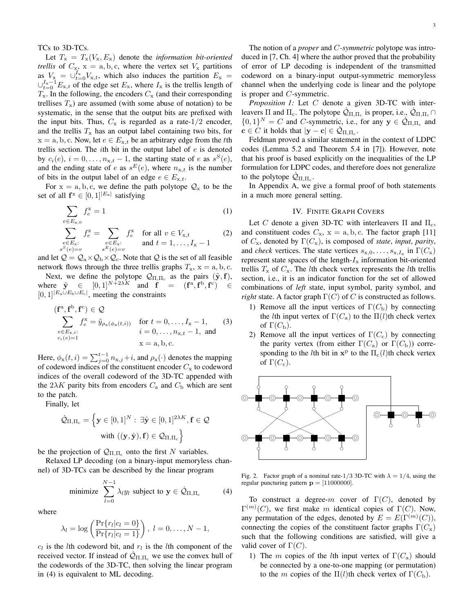TCs to 3D-TCs.

Let  $T_x = T_x(V_x, E_x)$  denote the *information bit-oriented trellis* of  $C_x$ ,  $x = a, b, c$ , where the vertex set  $V_x$  partitions as  $V_x = \bigcup_{t=0}^{I_x} V_{x,t}$ , which also induces the partition  $E_x =$  $\cup_{t=0}^{I_{\rm x}-1} E_{{\rm x},t}$  of the edge set  $E_{\rm x}$ , where  $I_{\rm x}$  is the trellis length of  $T_{\rm x}$ . In the following, the encoders  $C_{\rm x}$  (and their corresponding trellises  $T_x$ ) are assumed (with some abuse of notation) to be systematic, in the sense that the output bits are prefixed with the input bits. Thus,  $C_x$  is regarded as a rate-1/2 encoder, and the trellis  $T_x$  has an output label containing two bits, for  $x = a, b, c$ . Now, let  $e \in E_{x,t}$  be an arbitrary edge from the tth trellis section. The *i*th bit in the output label of  $e$  is denoted by  $c_i(e)$ ,  $i = 0, \ldots, n_{x,t} - 1$ , the starting state of e as  $s^S(e)$ , and the ending state of e as  $s^E(e)$ , where  $n_{x,t}$  is the number of bits in the output label of an edge  $e \in E_{x,t}$ .

For  $x = a, b, c$ , we define the path polytope  $Q_x$  to be the set of all  $f^x \in [0,1]^{|E_x|}$  satisfying

$$
\sum_{e \in E_{\mathbf{x},0}} f_e^{\mathbf{x}} = 1 \tag{1}
$$

$$
\sum_{\substack{e \in E_x:\\s^S(e)=v}} f_e^x = \sum_{\substack{e \in E_x:\\s^E(e)=v}} f_e^x \quad \text{for all } v \in V_{x,t} \tag{2}
$$

and let  $\mathcal{Q} = \mathcal{Q}_a \times \mathcal{Q}_b \times \mathcal{Q}_c$ . Note that  $\mathcal Q$  is the set of all feasible network flows through the three trellis graphs  $T_x$ ,  $x = a, b, c$ .

Next, we define the polytope  $\mathcal{Q}_{\Pi,\Pi_c}$  as the pairs  $(\tilde{\mathbf{y}}, \mathbf{f})$ , where  $\tilde{y} \in [0,1]^{N+2\lambda K}$  and  $f = (f^a, f^b, f^c) \in$  $[0, 1]^{E_a \cup E_b \cup E_c}$ , meeting the constraints

$$
(\mathbf{f}^{\mathbf{a}}, \mathbf{f}^{\mathbf{b}}, \mathbf{f}^{\mathbf{c}}) \in \mathcal{Q}
$$
  
\n
$$
\sum_{\substack{e \in E_{x,t}: \\ c_i(e) = 1}} f_e^{\mathbf{x}} = \tilde{y}_{\rho_x(\phi_x(t,i))} \quad \text{for } t = 0, \dots, I_x - 1,
$$
 (3)  
\n $i = 0, \dots, n_{x,t} - 1, \text{ and}$   
\n $x = a, b, c.$ 

Here,  $\phi_x(t, i) = \sum_{j=0}^{t-1} n_{x,j} + i$ , and  $\rho_x(\cdot)$  denotes the mapping of codeword indices of the constituent encoder  $C_x$  to codeword indices of the overall codeword of the 3D-TC appended with the  $2\lambda K$  parity bits from encoders  $C_a$  and  $C_b$  which are sent to the patch.

Finally, let

$$
\begin{aligned} \dot{\mathcal{Q}}_{\Pi,\Pi_c} = \left\{ \mathbf{y} \in [0,1]^N: \; \exists \hat{\mathbf{y}} \in [0,1]^{2 \lambda K}, \mathbf{f} \in \mathcal{Q} \\ & \text{with } ((\mathbf{y},\hat{\mathbf{y}}),\mathbf{f}) \in \mathcal{Q}_{\Pi,\Pi_c} \right\} \end{aligned}
$$

be the projection of  $\mathcal{Q}_{\Pi,\Pi_c}$  onto the first N variables.

Relaxed LP decoding (on a binary-input memoryless channel) of 3D-TCs can be described by the linear program

minimize 
$$
\sum_{l=0}^{N-1} \lambda_l y_l
$$
 subject to  $\mathbf{y} \in \dot{\mathcal{Q}}_{\Pi, \Pi_c}$  (4)

where

$$
\lambda_l = \log \left( \frac{\Pr\{r_l | c_l = 0\}}{\Pr\{r_l | c_l = 1\}} \right), l = 0, ..., N - 1,
$$

 $c_l$  is the *l*th codeword bit, and  $r_l$  is the *l*th component of the received vector. If instead of  $\mathcal{Q}_{\Pi,\Pi_c}$  we use the convex hull of the codewords of the 3D-TC, then solving the linear program in (4) is equivalent to ML decoding.

The notion of a *proper* and C*-symmetric* polytope was introduced in [7, Ch. 4] where the author proved that the probability of error of LP decoding is independent of the transmitted codeword on a binary-input output-symmetric memoryless channel when the underlying code is linear and the polytope is proper and C-symmetric.

*Proposition 1:* Let C denote a given 3D-TC with interleavers  $\Pi$  and  $\Pi_c$ . The polytope  $\dot{Q}_{\Pi,\Pi_c}$  is proper, i.e.,  $\dot{Q}_{\Pi,\Pi_c} \cap$  $\{0,1\}^N = C$  and C-symmetric, i.e., for any  $y \in \dot{Q}_{\Pi,\Pi_c}$  and  $\mathbf{c} \in C$  it holds that  $|\mathbf{y} - \mathbf{c}| \in \dot{\mathcal{Q}}_{\Pi, \Pi_c}$ .

Feldman proved a similar statement in the context of LDPC codes (Lemma 5.2 and Theorem 5.4 in [7]). However, note that his proof is based explicitly on the inequalities of the LP formulation for LDPC codes, and therefore does not generalize to the polytope  $\dot{\mathcal{Q}}_{\Pi,\Pi_c}$ .

In Appendix A, we give a formal proof of both statements in a much more general setting.

#### IV. FINITE GRAPH COVERS

Let C denote a given 3D-TC with interleavers  $\Pi$  and  $\Pi_c$ , and constituent codes  $C_x$ ,  $x = a, b, c$ . The factor graph [11] of  $C_x$ , denoted by  $\Gamma(C_x)$ , is composed of *state*, *input*, *parity*, and *check* vertices. The state vertices  $s_{x,0}, \ldots, s_{x,I_x}$  in  $\Gamma(C_x)$ represent state spaces of the length- $I_x$  information bit-oriented trellis  $T_x$  of  $C_x$ . The *l*th check vertex represents the *l*th trellis section, i.e., it is an indicator function for the set of allowed combinations of *left* state, input symbol, parity symbol, and *right* state. A factor graph  $\Gamma(C)$  of C is constructed as follows.

- 1) Remove all the input vertices of  $\Gamma(C_{\rm b})$  by connecting the *l*th input vertex of  $\Gamma(C_{\rm a})$  to the  $\Pi(l)$ th check vertex of  $\Gamma(C_{\rm b})$ .
- 2) Remove all the input vertices of  $\Gamma(C_c)$  by connecting the parity vertex (from either  $\Gamma(C_{\rm a})$  or  $\Gamma(C_{\rm b})$ ) corresponding to the *l*th bit in  $x^p$  to the  $\Pi_c(l)$ th check vertex of  $\Gamma(C_{\rm c})$ .



Fig. 2. Factor graph of a nominal rate-1/3 3D-TC with  $\lambda = 1/4$ , using the regular puncturing pattern  $p = [11000000]$ .

To construct a degree-m cover of  $\Gamma(C)$ , denoted by  $\Gamma^{(m)}(C)$ , we first make m identical copies of  $\Gamma(C)$ . Now, any permutation of the edges, denoted by  $E = E(\Gamma^{(m)}(C))$ , connecting the copies of the constituent factor graphs  $\Gamma(C_{x})$ such that the following conditions are satisfied, will give a valid cover of  $\Gamma(C)$ .

1) The m copies of the lth input vertex of  $\Gamma(C_{\rm a})$  should be connected by a one-to-one mapping (or permutation) to the m copies of the Π(l)th check vertex of  $\Gamma(C_{\rm b})$ .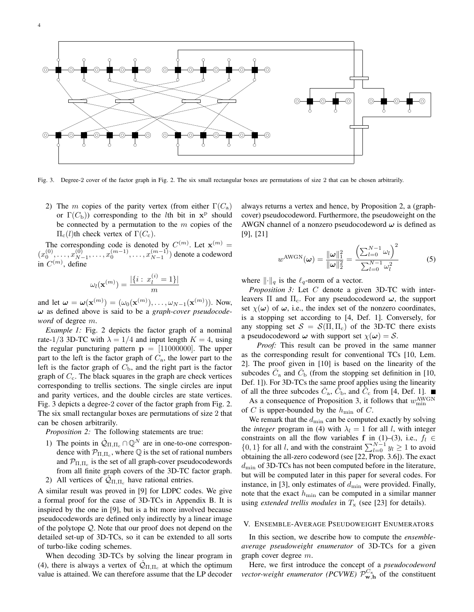



Fig. 3. Degree-2 cover of the factor graph in Fig. 2. The six small rectangular boxes are permutations of size 2 that can be chosen arbitrarily.

2) The m copies of the parity vertex (from either  $\Gamma(C_{a})$ or  $\Gamma(C_{\rm b})$  corresponding to the *l*th bit in  $x^{\rm p}$  should be connected by a permutation to the  $m$  copies of the  $\Pi_c(l)$ th check vertex of  $\Gamma(C_c)$ .

The corresponding code is denoted by  $C^{(m)}$ . Let  $\mathbf{x}^{(m)}$  =  $(x_0^{(0)}, \ldots, x_{N}^{(0)})$  $\overline{x_0^{(0)}}$ , ...,  $x_0^{(m-1)}$ , ...,  $x_{N-1}^{(m-1)}$  $\binom{m-1}{N-1}$  denote a codeword in  $C^{(m)}$ , define

$$
\omega_l(\mathbf{x}^{(m)}) = \frac{|\{i : x_l^{(i)} = 1\}|}{m}
$$

and let  $\boldsymbol{\omega} = \boldsymbol{\omega}(\mathbf{x}^{(m)}) = (\omega_0(\mathbf{x}^{(m)}), \dots, \omega_{N-1}(\mathbf{x}^{(m)}))$ . Now, ω as defined above is said to be a *graph-cover pseudocodeword* of degree m.

*Example 1:* Fig. 2 depicts the factor graph of a nominal rate-1/3 3D-TC with  $\lambda = 1/4$  and input length  $K = 4$ , using the regular puncturing pattern  $p = [11000000]$ . The upper part to the left is the factor graph of  $C_a$ , the lower part to the left is the factor graph of  $C<sub>b</sub>$ , and the right part is the factor graph of  $C_c$ . The black squares in the graph are check vertices corresponding to trellis sections. The single circles are input and parity vertices, and the double circles are state vertices. Fig. 3 depicts a degree-2 cover of the factor graph from Fig. 2. The six small rectangular boxes are permutations of size 2 that can be chosen arbitrarily.

*Proposition 2:* The following statements are true:

- 1) The points in  $\dot{Q}_{\Pi,\Pi_c} \cap \mathbb{Q}^N$  are in one-to-one correspondence with  $\mathcal{P}_{\Pi,\Pi_c}$ , where  $\mathbb Q$  is the set of rational numbers and  $\mathcal{P}_{\Pi,\Pi_c}$  is the set of all graph-cover pseudocodewords from all finite graph covers of the 3D-TC factor graph.
- 2) All vertices of  $\mathcal{Q}_{\Pi,\Pi_c}$  have rational entries.

A similar result was proved in [9] for LDPC codes. We give a formal proof for the case of 3D-TCs in Appendix B. It is inspired by the one in [9], but is a bit more involved because pseudocodewords are defined only indirectly by a linear image of the polytope Q. Note that our proof does not depend on the detailed set-up of 3D-TCs, so it can be extended to all sorts of turbo-like coding schemes.

When decoding 3D-TCs by solving the linear program in (4), there is always a vertex of  $\dot{Q}_{\Pi,\Pi_c}$  at which the optimum value is attained. We can therefore assume that the LP decoder always returns a vertex and hence, by Proposition 2, a (graphcover) pseudocodeword. Furthermore, the pseudoweight on the AWGN channel of a nonzero pseudocodeword  $\omega$  is defined as [9], [21]

$$
w^{\text{AWGN}}(\omega) = \frac{\|\omega\|_1^2}{\|\omega\|_2^2} = \frac{\left(\sum_{l=0}^{N-1} \omega_l\right)^2}{\sum_{l=0}^{N-1} \omega_l^2}
$$
(5)

where  $\|\cdot\|_q$  is the  $\ell_q$ -norm of a vector.

*Proposition 3:* Let C denote a given 3D-TC with interleavers  $\Pi$  and  $\Pi_c$ . For any pseudocodeword  $\omega$ , the support set  $\chi(\omega)$  of  $\omega$ , i.e., the index set of the nonzero coordinates, is a stopping set according to [4, Def. 1]. Conversely, for any stopping set  $S = S(\Pi, \Pi_c)$  of the 3D-TC there exists a pseudocodeword  $\omega$  with support set  $\chi(\omega) = S$ .

*Proof:* This result can be proved in the same manner as the corresponding result for conventional TCs [10, Lem. 2]. The proof given in [10] is based on the linearity of the subcodes  $\bar{C}_a$  and  $\bar{C}_b$  (from the stopping set definition in [10, Def. 1]). For 3D-TCs the same proof applies using the linearity of all the three subcodes  $\hat{C}_{\rm a}$ ,  $\hat{C}_{\rm b}$ , and  $\hat{C}_{\rm c}$  from [4, Def. 1].

As a consequence of Proposition 3, it follows that  $w_{\min}^{\text{AWGN}}$ of C is upper-bounded by the  $h_{\min}$  of C.

We remark that the  $d_{\min}$  can be computed exactly by solving the *integer* program in (4) with  $\lambda_l = 1$  for all l, with integer constraints on all the flow variables f in (1)–(3), i.e.,  $f_l \in$  $\{0, 1\}$  for all l, and with the constraint  $\sum_{l=0}^{N-1} y_l \geq 1$  to avoid obtaining the all-zero codeword (see [22, Prop. 3.6]). The exact  $d_{\text{min}}$  of 3D-TCs has not been computed before in the literature, but will be computed later in this paper for several codes. For instance, in [3], only estimates of  $d_{\min}$  were provided. Finally, note that the exact  $h_{\min}$  can be computed in a similar manner using *extended trellis modules* in  $T_x$  (see [23] for details).

#### V. ENSEMBLE-AVERAGE PSEUDOWEIGHT ENUMERATORS

In this section, we describe how to compute the *ensembleaverage pseudoweight enumerator* of 3D-TCs for a given graph cover degree m.

Here, we first introduce the concept of a *pseudocodeword vector-weight enumerator (PCVWE)*  $\mathcal{P}_{\mathbf{w},h}^{C_x}$  of the constituent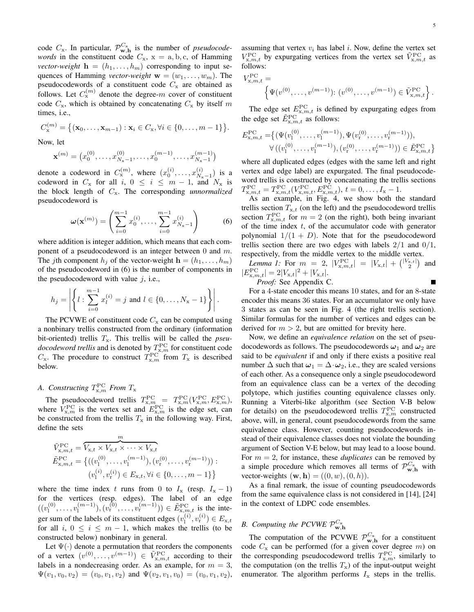code  $C_x$ . In particular,  $\mathcal{P}_{\mathbf{w},\mathbf{h}}^{C_x}$  is the number of *pseudocodewords* in the constituent code  $C_x$ ,  $x = a, b, c$ , of Hamming *vector-weight*  $\mathbf{h} = (h_1, \dots, h_m)$  corresponding to input sequences of Hamming *vector-weight*  $\mathbf{w} = (w_1, \dots, w_m)$ . The pseudocodewords of a constituent code  $C_x$  are obtained as follows. Let  $C_{\rm x}^{(m)}$  denote the degree-m cover of constituent code  $C_x$ , which is obtained by concatenating  $C_x$  by itself m times, i.e.,

$$
C_{\mathbf{x}}^{(m)} = \{ (\mathbf{x}_0, \dots, \mathbf{x}_{m-1}) : \mathbf{x}_i \in C_{\mathbf{x}}, \forall i \in \{0, \dots, m-1\} \}.
$$

Now, let

$$
\mathbf{x}^{(m)} = (x_0^{(0)}, \dots, x_{N_{\mathbf{x}}-1}^{(0)}, \dots, x_0^{(m-1)}, \dots, x_{N_{\mathbf{x}}-1}^{(m-1)})
$$

denote a codeword in  $C_{\text{x}}^{(m)}$ , where  $(x_0^{(i)},...,x_{N_{\text{x}}}^{(i)})$  $\binom{v}{N_{\rm x}-1}$  is a codeword in  $C_x$  for all i,  $0 \le i \le m - 1$ , and  $N_x$  is the block length of Cx. The corresponding *unnormalized* pseudocodeword is

$$
\boldsymbol{\omega}(\mathbf{x}^{(m)}) = \left(\sum_{i=0}^{m-1} x_0^{(i)}, \dots, \sum_{i=0}^{m-1} x_{N_x-1}^{(i)}\right) \tag{6}
$$

where addition is integer addition, which means that each component of a pseudocodeword is an integer between 0 and m. The *j*th component  $h_i$  of the vector-weight  $\mathbf{h} = (h_1, \dots, h_m)$ of the pseudocodeword in (6) is the number of components in the pseudocodeword with value  $i$ , i.e.,

$$
h_j = \left| \left\{ l : \sum_{i=0}^{m-1} x_l^{(i)} = j \text{ and } l \in \{0, \dots, N_{\mathbf{x}} - 1\} \right\} \right|.
$$

The PCVWE of constituent code  $C_x$  can be computed using a nonbinary trellis constructed from the ordinary (information bit-oriented) trellis  $T_x$ . This trellis will be called the *pseudocodeword trellis* and is denoted by  $T_{x,m}^{\text{PC}}$  for constituent code  $C_{\rm x}$ . The procedure to construct  $T_{\rm x,m}^{\rm PC}$  from  $T_{\rm x}$  is described below.

### A. Constructing  $T^{\rm PC}_{\rm x,m}$  From  $T_{\rm x}$

The pseudocodeword trellis  $T_{\text{x},m}^{\text{PC}} = T_{\text{x},m}^{\text{PC}}(V_{\text{x},m}^{\text{PC}}, E_{\text{x},m}^{\text{PC}})$ , where  $V_{x,m}^{\text{PC}}$  is the vertex set and  $E_{x,m}^{\text{PC}}$  is the edge set, can be constructed from the trellis  $T_x$  in the following way. First, define the sets

$$
\tilde{V}_{\mathbf{x},m,t}^{\text{PC}} = \overbrace{V_{\mathbf{x},t} \times V_{\mathbf{x},t} \times \cdots \times V_{\mathbf{x},t}}^{m}
$$
\n
$$
\tilde{E}_{\mathbf{x},m,t}^{\text{PC}} = \left\{ ((v_1^{(0)}, \dots, v_1^{(m-1)}), (v_1^{(0)}, \dots, v_r^{(m-1)})) : (v_1^{(i)}, v_r^{(i)}) \in E_{\mathbf{x},t}, \forall i \in \{0, \dots, m-1\} \right\}
$$

where the time index t runs from 0 to  $I_x$  (resp.  $I_x - 1$ ) for the vertices (resp. edges). The label of an edge  $((v_1^{(0)}$  $\binom{0}{1}, \ldots, \binom{m-1}{1}$  $\binom{(m-1)}{1},\binom{(v_1^{(0)},\ldots,v_r^{(m-1)} )}{k, m, t}$  is the integer sum of the labels of its constituent edges  $(v_1^{(i)})$  $\binom{i}{l}, v_{r}^{(i)} \in E_{x,t}$ for all i,  $0 \le i \le m - 1$ , which makes the trellis (to be constructed below) nonbinary in general.

Let  $\Psi(\cdot)$  denote a permutation that reorders the components of a vertex  $(v^{(0)},...,v^{(m-1)}) \in \tilde{V}^{\text{PC}}_{x,m,t}$  according to their labels in a nondecreasing order. As an example, for  $m = 3$ ,  $\Psi(v_1, v_0, v_2) = (v_0, v_1, v_2)$  and  $\Psi(v_2, v_1, v_0) = (v_0, v_1, v_2)$ , assuming that vertex  $v_i$  has label i. Now, define the vertex set  $V_{x,m,t}^{\text{PC}}$  by expurgating vertices from the vertex set  $\tilde{V}_{x,m,t}^{\text{PC}}$  as follows:

$$
V_{x,m,t}^{\text{PC}} = \left\{ \Psi(v^{(0)}, \dots, v^{(m-1)}) : (v^{(0)}, \dots, v^{(m-1)}) \in \tilde{V}_{x,m,t}^{\text{PC}} \right\}.
$$

The edge set  $E_{x,m,t}^{\text{PC}}$  is defined by expurgating edges from the edge set  $\tilde{E}_{\mathbf{x},m,t}^{\text{PC}}$  as follows:

$$
E_{\mathbf{x},m,t}^{\rm PC} = \{ (\Psi(v_1^{(0)}, \dots, v_1^{(m-1)}), \Psi(v_r^{(0)}, \dots, v_r^{(m-1)})),
$$
  

$$
\forall ((v_1^{(0)}, \dots, v_1^{(m-1)}), (v_r^{(0)}, \dots, v_r^{(m-1)})) \in \tilde{E}_{\mathbf{x},m,t}^{\rm PC} \}
$$

where all duplicated edges (edges with the same left and right vertex and edge label) are expurgated. The final pseudocodeword trellis is constructed by concatenating the trellis sections  $T_{\mathbf{x},m,t}^{\text{PC}} = T_{\mathbf{x},m,t}^{\text{PC}}(V_{\mathbf{x},m,t}^{\text{PC}}, E_{\mathbf{x},m,t}^{\text{PC}}), t = 0, \ldots, I_{\mathbf{x}} - 1.$ 

As an example, in Fig. 4, we show both the standard trellis section  $T_{x,t}$  (on the left) and the pseudocodeword trellis section  $T^{\text{PC}}_{x,m,t}$  for  $m = 2$  (on the right), both being invariant of the time index  $t$ , of the accumulator code with generator polynomial  $1/(1 + D)$ . Note that for the pseudocodeword trellis section there are two edges with labels  $2/1$  and  $0/1$ , respectively, from the middle vertex to the middle vertex.

*Lemma 1:* For  $m = 2$ ,  $|V_{x,m,t}^{\text{PC}}| = |V_{x,t}| + \binom{|V_{x,t}|}{2}$  and  $|E_{\mathbf{x},m,t}^{\rm PC}| = 2|V_{\mathbf{x},t}|^2 + |V_{\mathbf{x},t}|.$ 

*Proof:* See Appendix C.

For a 4-state encoder this means 10 states, and for an 8-state encoder this means 36 states. For an accumulator we only have 3 states as can be seen in Fig. 4 (the right trellis section). Similar formulas for the number of vertices and edges can be derived for  $m > 2$ , but are omitted for brevity here.

Now, we define an *equivalence relation* on the set of pseudocodewords as follows. The pseudocodewords  $\omega_1$  and  $\omega_2$  are said to be *equivalent* if and only if there exists a positive real number  $\Delta$  such that  $\omega_1 = \Delta \cdot \omega_2$ , i.e., they are scaled versions of each other. As a consequence only a single pseudocodeword from an equivalence class can be a vertex of the decoding polytope, which justifies counting equivalence classes only. Running a Viterbi-like algorithm (see Section V-B below for details) on the pseudocodeword trellis  $T_{\text{x},m}^{\text{PC}}$  constructed above, will, in general, count pseudocodewords from the same equivalence class. However, counting pseudocodewords instead of their equivalence classes does not violate the bounding argument of Section V-E below, but may lead to a loose bound. For  $m = 2$ , for instance, these *duplicates* can be removed by a simple procedure which removes all terms of  $\mathcal{P}^{C_x}_{\mathbf{w},\mathbf{h}}$  with vector-weights  $(\mathbf{w}, \mathbf{h}) = ((0, w), (0, h)).$ 

As a final remark, the issue of counting pseudocodewords from the same equivalence class is not considered in [14], [24] in the context of LDPC code ensembles.

## *B.* Computing the PCVWE  $\mathcal{P}_{\mathbf{w},\mathbf{h}}^{C_{\mathbf{x}}}$

The computation of the PCVWE  $\mathcal{P}_{\mathbf{w},h}^{C_x}$  for a constituent code  $C_x$  can be performed (for a given cover degree m) on the corresponding pseudocodeword trellis  $T^{\text{PC}}_{x,m}$ , similarly to the computation (on the trellis  $T_x$ ) of the input-output weight enumerator. The algorithm performs  $I_x$  steps in the trellis.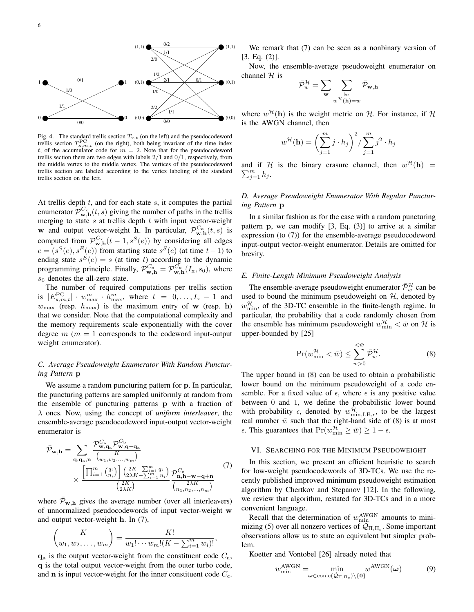

Fig. 4. The standard trellis section  $T_{x,t}$  (on the left) and the pseudocodeword trellis section  $T^{\text{PC}}_{x,m,t}$  (on the right), both being invariant of the time index t, of the accumulator code for  $m = 2$ . Note that for the pseudocodeword trellis section there are two edges with labels  $2/1$  and  $0/1$ , respectively, from the middle vertex to the middle vertex. The vertices of the pseudocodeword trellis section are labeled according to the vertex labeling of the standard trellis section on the left.

At trellis depth  $t$ , and for each state  $s$ , it computes the partial enumerator  $\mathcal{P}_{\mathbf{w},\mathbf{h}}^{C_{\mathbf{x}}}(t,s)$  giving the number of paths in the trellis merging to state  $s$  at trellis depth  $t$  with input vector-weight w and output vector-weight **h**. In particular,  $\mathcal{P}_{\mathbf{w},\mathbf{h}}^{C_{\mathbf{x}}}(t,s)$  is computed from  $\mathcal{P}_{\mathbf{w},h}^{C_x}(t-1,s^S(e))$  by considering all edges  $e = (s^S(e), s^E(e))$  from starting state  $s^S(e)$  (at time  $t-1$ ) to ending state  $s^E(e) = s$  (at time t) according to the dynamic programming principle. Finally,  $\mathcal{P}_{\mathbf{w},\mathbf{h}}^{C_{\mathbf{x}}} = \mathcal{P}_{\mathbf{w},\mathbf{h}}^{C_{\mathbf{x}}}(I_{\mathbf{x}},s_0)$ , where  $s_0$  denotes the all-zero state.

The number of required computations per trellis section is  $|E_{\mathbf{x},m,t}^{\rm PC}| \cdot w_{\rm max}^m \cdot h_{\rm max}^m$ , where  $t = 0, \ldots, I_{\mathbf{x}} - 1$  and  $w_{\text{max}}$  (resp.  $h_{\text{max}}$ ) is the maximum entry of w (resp. h) that we consider. Note that the computational complexity and the memory requirements scale exponentially with the cover degree  $m$  ( $m = 1$  corresponds to the codeword input-output weight enumerator).

#### *C. Average Pseudoweight Enumerator With Random Puncturing Pattern* p

We assume a random puncturing pattern for p. In particular, the puncturing patterns are sampled uniformly at random from the ensemble of puncturing patterns p with a fraction of λ ones. Now, using the concept of *uniform interleaver*, the ensemble-average pseudocodeword input-output vector-weight enumerator is

$$
\bar{\mathcal{P}}_{\mathbf{w},\mathbf{h}} = \sum_{\mathbf{q},\mathbf{q}_a,\mathbf{n}} \frac{\mathcal{P}_{\mathbf{w},\mathbf{q}_a}^{C_a} \mathcal{P}_{\mathbf{w},\mathbf{q}-\mathbf{q}_a}^{C_b}}{\binom{[m]}{m} \binom{[m]}{m} \binom{2K-\sum_{i=1}^m q_i}{2\lambda K - \sum_{i=1}^m n_i}} \mathcal{P}_{\mathbf{n},\mathbf{h}-\mathbf{w}-\mathbf{q}+\mathbf{n}}^{C_c}
$$
\n
$$
\times \frac{\left[\prod_{i=1}^m \binom{q_i}{n_i}\right] \binom{2K-\sum_{i=1}^m q_i}{2\lambda K}}{\binom{2K}{2\lambda K}} \frac{\mathcal{P}_{\mathbf{n},\mathbf{h}-\mathbf{w}-\mathbf{q}+\mathbf{n}}^{C_a}}{\binom{2\lambda K}{n_1, n_2, \dots, n_m}}
$$
\n(7)

where  $\bar{\mathcal{P}}_{w,h}$  gives the average number (over all interleavers) of unnormalized pseudocodewords of input vector-weight w and output vector-weight h. In (7),

$$
\binom{K}{w_1, w_2, \dots, w_m} = \frac{K!}{w_1! \cdots w_m! (K - \sum_{i=1}^m w_i)!},
$$

 $q_a$  is the output vector-weight from the constituent code  $C_a$ , q is the total output vector-weight from the outer turbo code, and  $\bf{n}$  is input vector-weight for the inner constituent code  $C_{\rm c}$ .

We remark that (7) can be seen as a nonbinary version of [3, Eq. (2)].

Now, the ensemble-average pseudoweight enumerator on channel  $H$  is

$$
\bar{\mathcal{P}}^{\mathcal{H}}_{w} = \sum_{\mathbf{w}} \sum_{\substack{\mathbf{h}: \\ w^{\mathcal{H}}(\mathbf{h}) = w}} \bar{\mathcal{P}}_{\mathbf{w}, \mathbf{h}}
$$

where  $w^{\mathcal{H}}(\mathbf{h})$  is the weight metric on H. For instance, if H is the AWGN channel, then

$$
w^{\mathcal{H}}(\mathbf{h}) = \left(\sum_{j=1}^{m} j \cdot h_j\right)^2 / \sum_{j=1}^{m} j^2 \cdot h_j
$$

and if H is the binary erasure channel, then  $w^{\mathcal{H}}(\mathbf{h})$  =  $\sum_{j=1}^m h_j$ .

#### *D. Average Pseudoweight Enumerator With Regular Puncturing Pattern* p

In a similar fashion as for the case with a random puncturing pattern  $p$ , we can modify  $[3, Eq. (3)]$  to arrive at a similar expression (to (7)) for the ensemble-average pseudocodeword input-output vector-weight enumerator. Details are omitted for brevity.

#### *E. Finite-Length Minimum Pseudoweight Analysis*

The ensemble-average pseudoweight enumerator  $\bar{\mathcal{P}}_w^{\mathcal{H}}$  can be used to bound the minimum pseudoweight on  $H$ , denoted by  $w_{\min}^{\mathcal{H}}$ , of the 3D-TC ensemble in the finite-length regime. In particular, the probability that a code randomly chosen from the ensemble has minimum pseudoweight  $w_{\min}^{\mathcal{H}} < \bar{w}$  on  $\mathcal{H}$  is upper-bounded by [25]

$$
\Pr(w_{\min}^{\mathcal{H}} < \bar{w}) \le \sum_{w > 0}^{\le \bar{w}} \bar{\mathcal{P}}_w^{\mathcal{H}}.\tag{8}
$$

The upper bound in (8) can be used to obtain a probabilistic lower bound on the minimum pseudoweight of a code ensemble. For a fixed value of  $\epsilon$ , where  $\epsilon$  is any positive value between 0 and 1, we define the probabilistic lower bound with probability  $\epsilon$ , denoted by  $w_{\min, \text{LB}, \epsilon}^{\mathcal{H}}$ , to be the largest real number  $\bar{w}$  such that the right-hand side of (8) is at most  $\epsilon$ . This guarantees that  $Pr(w_{\min}^{\mathcal{H}} \ge \bar{w}) \ge 1 - \epsilon$ .

#### VI. SEARCHING FOR THE MINIMUM PSEUDOWEIGHT

In this section, we present an efficient heuristic to search for low-weight pseudocodewords of 3D-TCs. We use the recently published improved minimum pseudoweight estimation algorithm by Chertkov and Stepanov [12]. In the following, we review that algorithm, restated for 3D-TCs and in a more convenient language.

Recall that the determination of  $w_{\text{min}}^{\text{AWGN}}$  amounts to minimizing (5) over all nonzero vertices of  $\mathcal{Q}_{\Pi,\Pi_c}$ . Some important observations allow us to state an equivalent but simpler problem.

Koetter and Vontobel [26] already noted that

$$
w_{\min}^{\text{AWGN}} = \min_{\boldsymbol{\omega} \in \text{conic}(\dot{\mathcal{Q}}_{\Pi, \Pi_c}) \setminus \{\mathbf{0}\}} w^{\text{AWGN}}(\boldsymbol{\omega}) \tag{9}
$$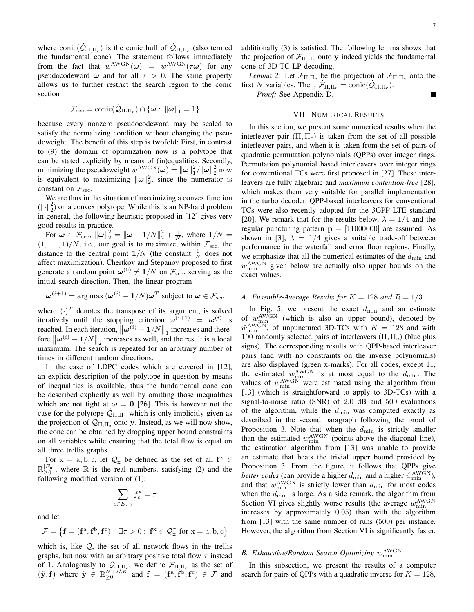where  $\text{conic}(\dot{Q}_{\Pi,\Pi_c})$  is the conic hull of  $\dot{Q}_{\Pi,\Pi_c}$  (also termed the fundamental cone). The statement follows immediately from the fact that  $w^{\text{AWGN}}(\omega) = w^{\text{AWGN}}(\tau \omega)$  for any pseudocodeword  $\omega$  and for all  $\tau > 0$ . The same property allows us to further restrict the search region to the conic section

$$
\mathcal{F}_{\rm sec} = {\rm conic}(\dot{\mathcal{Q}}_{\Pi,\Pi_c}) \cap \{\boldsymbol{\omega}:~ \|\boldsymbol{\omega}\|_1 = 1\}
$$

because every nonzero pseudocodeword may be scaled to satisfy the normalizing condition without changing the pseudoweight. The benefit of this step is twofold: First, in contrast to (9) the domain of optimization now is a polytope that can be stated explicitly by means of (in)equalities. Secondly, minimizing the pseudoweight  $w^{\text{AWGN}}(\omega) = ||\omega||_1^2/||\omega||_2^2$  now is equivalent to maximizing  $\|\omega\|_2^2$ , since the numerator is constant on  $\mathcal{F}_{\text{sec}}$ .

We are thus in the situation of maximizing a convex function  $(\Vert \cdot \Vert_2^2)$  on a convex polytope. While this is an NP-hard problem in general, the following heuristic proposed in [12] gives very good results in practice.

For  $\omega \in \mathcal{F}_{\text{sec}}$ ,  $\|\omega\|_2^2 = \|\omega - 1/N\|_2^2 + \frac{1}{N}$ , where  $1/N =$  $(1, \ldots, 1)/N$ , i.e., our goal is to maximize, within  $\mathcal{F}_{\text{sec}}$ , the distance to the central point  $1/N$  (the constant  $\frac{1}{N}$  does not affect maximization). Chertkov and Stepanov proposed to first generate a random point  $\omega^{(0)} \neq 1/N$  on  $\mathcal{F}_{\text{sec}}$ , serving as the initial search direction. Then, the linear program

$$
\boldsymbol{\omega}^{(i+1)} = \arg \max (\boldsymbol{\omega}^{(i)} - \mathbf{1}/N) \boldsymbol{\omega}^T
$$
 subject to  $\boldsymbol{\omega} \in \mathcal{F}_{\text{sec}}$ 

where  $(\cdot)^T$  denotes the transpose of its argument, is solved iteratively until the stopping criterion  $\omega^{(i+1)} = \omega^{(i)}$  is reached. In each iteration,  $\|\boldsymbol{\omega}^{(i)} - \boldsymbol{1}/N\|_1$  increases and therefore  $\|\boldsymbol{\omega}^{(i)} - \mathbf{1}/N\|_2$  increases as well, and the result is a local maximum. The search is repeated for an arbitrary number of times in different random directions.

In the case of LDPC codes which are covered in [12], an explicit description of the polytope in question by means of inequalities is available, thus the fundamental cone can be described explicitly as well by omitting those inequalities which are not tight at  $\omega = 0$  [26]. This is however not the case for the polytope  $\mathcal{Q}_{\Pi,\Pi_c}$  which is only implicitly given as the projection of  $Q_{\Pi,\Pi_c}$  onto y. Instead, as we will now show, the cone can be obtained by dropping upper bound constraints on all variables while ensuring that the total flow is equal on all three trellis graphs.

For  $x = a, b, c$ , let  $\mathcal{Q}_x^{\tau}$  be defined as the set of all  $f^x \in$  $\mathbb{R}_{\geq 0}^{|E_{\rm x}|}$ , where  $\mathbb R$  is the real numbers, satisfying (2) and the following modified version of (1):

$$
\sum_{e \in E_{\mathbf{x},0}} f_e^{\mathbf{x}} = \tau
$$

and let

$$
\mathcal{F}=\left\{\mathbf{f}=(\mathbf{f}^a,\mathbf{f}^b,\mathbf{f}^c):\ \exists\tau>0:\ \mathbf{f}^x\in\mathcal{Q}^\tau_x\text{ for }x=a,b,c\right\}
$$

which is, like  $Q$ , the set of all network flows in the trellis graphs, but now with an arbitrary positive total flow  $\tau$  instead of 1. Analogously to  $\mathcal{Q}_{\Pi,\Pi_{c}}$ , we define  $\mathcal{F}_{\Pi,\Pi_{c}}$  as the set of  $(\tilde{\mathbf{y}}, \mathbf{f})$  where  $\tilde{\mathbf{y}} \in \mathbb{R}_{\geq 0}^{N+2\lambda K}$  and  $\mathbf{f} = (\mathbf{f}^{\text{a}}, \mathbf{f}^{\text{b}}, \mathbf{f}^{\text{c}}) \in \mathcal{F}$  and

*Lemma 2:* Let  $\dot{\mathcal{F}}_{\Pi,\Pi_c}$  be the projection of  $\mathcal{F}_{\Pi,\Pi_c}$  onto the first N variables. Then,  $\dot{\mathcal{F}}_{\Pi,\Pi_c} = \text{conic}(\dot{\mathcal{Q}}_{\Pi,\Pi_c})$ .

*Proof:* See Appendix D.

#### VII. NUMERICAL RESULTS

In this section, we present some numerical results when the interleaver pair  $(\Pi, \Pi_c)$  is taken from the set of all possible interleaver pairs, and when it is taken from the set of pairs of quadratic permutation polynomials (QPPs) over integer rings. Permutation polynomial based interleavers over integer rings for conventional TCs were first proposed in [27]. These interleavers are fully algebraic and *maximum contention-free* [28], which makes them very suitable for parallel implementation in the turbo decoder. QPP-based interleavers for conventional TCs were also recently adopted for the 3GPP LTE standard [20]. We remark that for the results below,  $\lambda = 1/4$  and the regular puncturing pattern  $p = [11000000]$  are assumed. As shown in [3],  $\lambda = 1/4$  gives a suitable trade-off between performance in the waterfall and error floor regions. Finally, we emphasize that all the numerical estimates of the  $d_{\min}$  and  $w_{\text{min}}^{\text{AWGN}}$  given below are actually also upper bounds on the exact values.

#### *A. Ensemble-Average Results for*  $K = 128$  *and*  $R = 1/3$

In Fig. 5, we present the exact  $d_{\min}$  and an estimate of  $w_{\text{min}}^{\text{AWGN}}$  (which is also an upper bound), denoted by  $\hat{w}_{\min}^{\text{AWGN}}$ , of unpunctured 3D-TCs with  $K = 128$  and with 100 randomly selected pairs of interleavers  $(\Pi, \Pi_c)$  (blue plus signs). The corresponding results with QPP-based interleaver pairs (and with no constraints on the inverse polynomials) are also displayed (green x-marks). For all codes, except 11, the estimated  $w_{\min}^{\text{AWGN}}$  is at most equal to the  $d_{\min}$ . The values of  $w_{\min}^{\text{AWGN}}$  were estimated using the algorithm from [13] (which is straightforward to apply to 3D-TCs) with a signal-to-noise ratio (SNR) of 2.0 dB and 500 evaluations of the algorithm, while the  $d_{\min}$  was computed exactly as described in the second paragraph following the proof of Proposition 3. Note that when the  $d_{\min}$  is strictly smaller than the estimated  $w_{\min}^{\text{AWGN}}$  (points above the diagonal line), the estimation algorithm from [13] was unable to provide an estimate that beats the trivial upper bound provided by Proposition 3. From the figure, it follows that QPPs give *better codes* (can provide a higher  $d_{\min}$  and a higher  $\hat{w}_{\min}^{\text{AWGN}}$ ), and that  $w_{\min}^{\text{AWGN}}$  is strictly lower than  $d_{\min}$  for most codes when the  $d_{\min}$  is large. As a side remark, the algorithm from Section VI gives slightly worse results (the average  $\hat{w}_{\text{min}}^{\text{AWGN}}$ increases by approximately 0.05) than with the algorithm from [13] with the same number of runs (500) per instance. However, the algorithm from Section VI is significantly faster.

## B. Exhaustive/Random Search Optimizing  $w_{\text{min}}^{\text{AWGN}}$

In this subsection, we present the results of a computer search for pairs of QPPs with a quadratic inverse for  $K = 128$ ,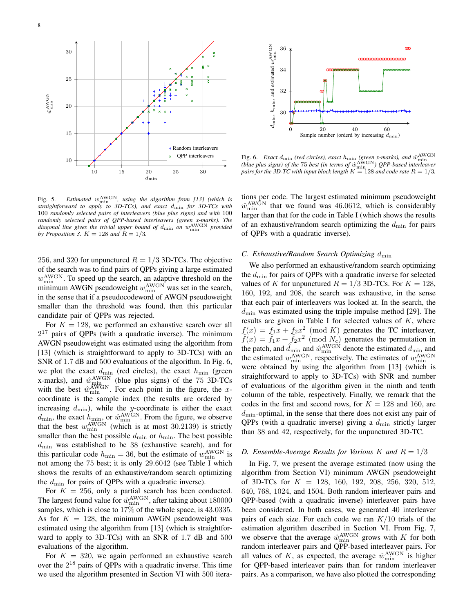

Fig. 5. *Estimated*  $w_{\min}^{\text{AWGN}}$ , using the algorithm from [13] (which is *straightforward to apply to 3D-TCs), and exact* dmin *for 3D-TCs with* 100 *randomly selected pairs of interleavers (blue plus signs) and with* 100 *randomly selected pairs of QPP-based interleavers (green x-marks). The diagonal line gives the trivial upper bound of* dmin *on* wAWGN min *provided by Proposition 3.*  $K = 128$  *and*  $R = 1/3$ *.* 

256, and 320 for unpunctured  $R = 1/3$  3D-TCs. The objective of the search was to find pairs of QPPs giving a large estimated  $w_{\min}^{\text{AWGN}}$ . To speed up the search, an adaptive threshold on the minimum AWGN pseudoweight  $w_{\min}^{\text{AWGN}}$  was set in the search, in the sense that if a pseudocodeword of AWGN pseudoweight smaller than the threshold was found, then this particular candidate pair of QPPs was rejected.

For  $K = 128$ , we performed an exhaustive search over all  $2^{17}$  pairs of QPPs (with a quadratic inverse). The minimum AWGN pseudoweight was estimated using the algorithm from [13] (which is straightforward to apply to 3D-TCs) with an SNR of 1.7 dB and 500 evaluations of the algorithm. In Fig. 6, we plot the exact  $d_{\min}$  (red circles), the exact  $h_{\min}$  (green x-marks), and  $\hat{w}_{\min}^{\text{AWGN}}$  (blue plus signs) of the 75 3D-TCs with the best  $\hat{w}_{\min}^{\text{AWGN}}$ . For each point in the figure, the xcoordinate is the sample index (the results are ordered by increasing  $d_{\min}$ ), while the y-coordinate is either the exact  $d_{\min}$ , the exact  $h_{\min}$ , or  $\hat{w}_{\min}^{\text{AWGN}}$ . From the figure, we observe that the best  $w_{\min}^{\text{AWGN}}$  (which is at most 30.2139) is strictly smaller than the best possible  $d_{\min}$  or  $h_{\min}$ . The best possible  $d_{\text{min}}$  was established to be 38 (exhaustive search), and for this particular code  $h_{\min} = 36$ , but the estimate of  $w_{\min}^{\text{AWGN}}$  is not among the 75 best; it is only 29.6042 (see Table I which shows the results of an exhaustive/random search optimizing the  $d_{\text{min}}$  for pairs of QPPs with a quadratic inverse).

For  $K = 256$ , only a partial search has been conducted. The largest found value for  $\hat{w}^{\text{AWGN}}_{\text{min}}$ , after taking about 180000 samples, which is close to 17% of the whole space, is 43.0335. As for  $K = 128$ , the minimum AWGN pseudoweight was estimated using the algorithm from [13] (which is straightforward to apply to 3D-TCs) with an SNR of 1.7 dB and 500 evaluations of the algorithm.

For  $K = 320$ , we again performed an exhaustive search over the  $2^{18}$  pairs of QPPs with a quadratic inverse. This time we used the algorithm presented in Section VI with 500 itera-



Fig. 6. *Exact*  $d_{\min}$  (red circles), exact  $h_{\min}$  (green x-marks), and  $\hat{w}_{\min}^{\text{AWGN}}$  (blue plus signs) of the 75 best (in terms of  $\hat{w}_{\min}^{\text{AWGN}}$ ) QPP-based interleaver pairs for the 3D-TC with input block lengt

tions per code. The largest estimated minimum pseudoweight  $\hat{w}_{\text{min}}^{\text{AWGN}}$  that we found was 46.0612, which is considerably larger than that for the code in Table I (which shows the results of an exhaustive/random search optimizing the  $d_{\text{min}}$  for pairs of QPPs with a quadratic inverse).

#### *C. Exhaustive/Random Search Optimizing* dmin

We also performed an exhaustive/random search optimizing the  $d_{\text{min}}$  for pairs of QPPs with a quadratic inverse for selected values of K for unpunctured  $R = 1/3$  3D-TCs. For  $K = 128$ , 160, 192, and 208, the search was exhaustive, in the sense that each pair of interleavers was looked at. In the search, the  $d_{\text{min}}$  was estimated using the triple impulse method [29]. The results are given in Table I for selected values of  $K$ , where  $f(x) = f_1x + f_2x^2 \pmod{K}$  generates the TC interleaver,  $\tilde{f}(x) = \tilde{f}_1 x + \tilde{f}_2 x^2$  (mod  $N_c$ ) generates the permutation in the patch, and  $\hat{d}_{\text{min}}$  and  $\hat{w}_{\text{min}}^{\text{AWGN}}$  denote the estimated  $d_{\text{min}}$  and the estimated  $w_{\min}^{\text{AWGN}}$ , respectively. The estimates of  $w_{\min}^{\text{AWGN}}$ were obtained by using the algorithm from [13] (which is straightforward to apply to 3D-TCs) with SNR and number of evaluations of the algorithm given in the ninth and tenth column of the table, respectively. Finally, we remark that the codes in the first and second rows, for  $K = 128$  and 160, are  $d_{\text{min}}$ -optimal, in the sense that there does not exist any pair of QPPs (with a quadratic inverse) giving a  $d_{\text{min}}$  strictly larger than 38 and 42, respectively, for the unpunctured 3D-TC.

#### *D. Ensemble-Average Results for Various K and*  $R = 1/3$

In Fig. 7, we present the average estimated (now using the algorithm from Section VI) minimum AWGN pseudoweight of 3D-TCs for  $K = 128, 160, 192, 208, 256, 320, 512,$ 640, 768, 1024, and 1504. Both random interleaver pairs and QPP-based (with a quadratic inverse) interleaver pairs have been considered. In both cases, we generated 40 interleaver pairs of each size. For each code we ran  $K/10$  trials of the estimation algorithm described in Section VI. From Fig. 7, we observe that the average  $\hat{w}_{\min}^{\text{AWGN}}$  grows with K for both random interleaver pairs and QPP-based interleaver pairs. For all values of K, as expected, the average  $\hat{w}_{\min}^{\text{AWGN}}$  is higher for QPP-based interleaver pairs than for random interleaver pairs. As a comparison, we have also plotted the corresponding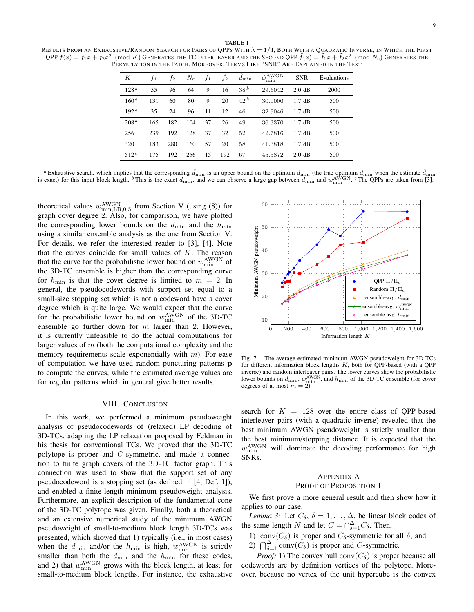TABLE I RESULTS FROM AN EXHAUSTIVE/RANDOM SEARCH FOR PAIRS OF QPPS WITH  $\lambda = 1/4$ , BOTH WITH A QUADRATIC INVERSE, IN WHICH THE FIRST  $QPP~f(x)=f_1x+f_2x^2\pmod{K}$  Generates the TC Interleaver and the Second QPP  $\tilde{f}(x)=\tilde{f}_1x+\tilde{f}_2x^2\pmod{N_c}$  Generates the PERMUTATION IN THE PATCH. MOREOVER, TERMS LIKE "SNR" ARE EXPLAINED IN THE TEXT

| К                | $f_1$ | f2  | $N_c$ | $f_1$ | $f_2$ | $d_{\min}$      | $\hat{w}^{\text{AWGN}}_{\text{min}}$ | <b>SNR</b>       | Evaluations |
|------------------|-------|-----|-------|-------|-------|-----------------|--------------------------------------|------------------|-------------|
| 128 <sup>a</sup> | 55    | 96  | 64    | 9     | 16    | 38 <sup>b</sup> | 29.6042                              | $2.0 \text{ dB}$ | 2000        |
| 160 <sup>a</sup> | 131   | 60  | 80    | 9     | 20    | $42^b$          | 30.0000                              | $1.7 \text{ dB}$ | 500         |
| 192 <sup>a</sup> | 35    | 24  | 96    | 11    | 12    | 46              | 32.9046                              | $1.7 \text{ dB}$ | 500         |
| 208 <sup>a</sup> | 165   | 182 | 104   | 37    | 26    | 49              | 36.3370                              | $1.7 \text{ dB}$ | 500         |
| 256              | 239   | 192 | 128   | 37    | 32    | 52              | 42.7816                              | $1.7 \text{ dB}$ | 500         |
| 320              | 183   | 280 | 160   | 57    | 20    | 58              | 41.3818                              | $1.7 \text{ dB}$ | 500         |
| 512 <sup>c</sup> | 175   | 192 | 256   | 15    | 192   | 67              | 45.5872                              | $2.0 \text{ dB}$ | 500         |

<sup>a</sup> Exhaustive search, which implies that the corresponding  $\hat{d}_{\text{min}}$  is an upper bound on the optimum  $d_{\text{min}}$  (the true optimum  $d_{\text{min}}$  when the estimate  $\hat{d}_{\text{min}}$ is exact) for this input block length. <sup>*b*</sup> This is the exact  $d_{\text{min}}$ , and we can observe a large gap between  $d_{\text{min}}$  and  $w_{\text{min}}^{\text{AWGN}}$ . <sup>*c*</sup> The QPPs are taken from [3].

theoretical values  $w_{\text{min, LB},0.5}^{\text{AWGN}}$  from Section V (using (8)) for graph cover degree 2. Also, for comparison, we have plotted the corresponding lower bounds on the  $d_{\min}$  and the  $h_{\min}$ using a similar ensemble analysis as the one from Section V. For details, we refer the interested reader to [3], [4]. Note that the curves coincide for small values of  $K$ . The reason that the curve for the probabilistic lower bound on  $w_{\min}^{\text{AWGN}}$  of the 3D-TC ensemble is higher than the corresponding curve for  $h_{\min}$  is that the cover degree is limited to  $m = 2$ . In general, the pseudocodewords with support set equal to a small-size stopping set which is not a codeword have a cover degree which is quite large. We would expect that the curve for the probabilistic lower bound on  $w_{\min}^{\text{AWGN}}$  of the 3D-TC ensemble go further down for  $m$  larger than 2. However, it is currently unfeasible to do the actual computations for larger values of  $m$  (both the computational complexity and the memory requirements scale exponentially with  $m$ ). For ease of computation we have used random puncturing patterns p to compute the curves, while the estimated average values are for regular patterns which in general give better results.

#### VIII. CONCLUSION

In this work, we performed a minimum pseudoweight analysis of pseudocodewords of (relaxed) LP decoding of 3D-TCs, adapting the LP relaxation proposed by Feldman in his thesis for conventional TCs. We proved that the 3D-TC polytope is proper and C-symmetric, and made a connection to finite graph covers of the 3D-TC factor graph. This connection was used to show that the support set of any pseudocodeword is a stopping set (as defined in [4, Def. 1]), and enabled a finite-length minimum pseudoweight analysis. Furthermore, an explicit description of the fundamental cone of the 3D-TC polytope was given. Finally, both a theoretical and an extensive numerical study of the minimum AWGN pseudoweight of small-to-medium block length 3D-TCs was presented, which showed that 1) typically (i.e., in most cases) when the  $d_{\min}$  and/or the  $h_{\min}$  is high,  $w_{\min}^{\text{AWGN}}$  is strictly smaller than both the  $d_{\min}$  and the  $h_{\min}$  for these codes, and 2) that  $w_{\min}^{\text{AWGN}}$  grows with the block length, at least for small-to-medium block lengths. For instance, the exhaustive



Fig. 7. The average estimated minimum AWGN pseudoweight for 3D-TCs for different information block lengths K, both for QPP-based (with a QPP inverse) and random interleaver pairs. The lower curves show the probabilistic lower bounds on  $d_{\text{min}}$ ,  $w_{\text{min}}^{\text{AWGN}}$ , and  $h_{\text{min}}$  of the 3D-TC ensemble (for cover degrees of at most  $m = 2$ ).

search for  $K = 128$  over the entire class of QPP-based interleaver pairs (with a quadratic inverse) revealed that the best minimum AWGN pseudoweight is strictly smaller than the best minimum/stopping distance. It is expected that the  $w_{\text{min}}^{\text{AWGN}}$  will dominate the decoding performance for high SNRs.

#### APPENDIX A

#### PROOF OF PROPOSITION 1

We first prove a more general result and then show how it applies to our case.

*Lemma 3:* Let  $C_{\delta}$ ,  $\delta = 1, \ldots, \Delta$ , be linear block codes of the same length N and let  $C = \bigcap_{\delta=1}^{\Delta} C_{\delta}$ . Then,

1) conv $(C_{\delta})$  is proper and  $C_{\delta}$ -symmetric for all  $\delta$ , and

2)  $\bigcap_{\delta=1}^{\Delta} \text{conv}(\hat{C}_{\delta})$  is proper and C-symmetric.

*Proof:* 1) The convex hull conv $(C_{\delta})$  is proper because all codewords are by definition vertices of the polytope. Moreover, because no vertex of the unit hypercube is the convex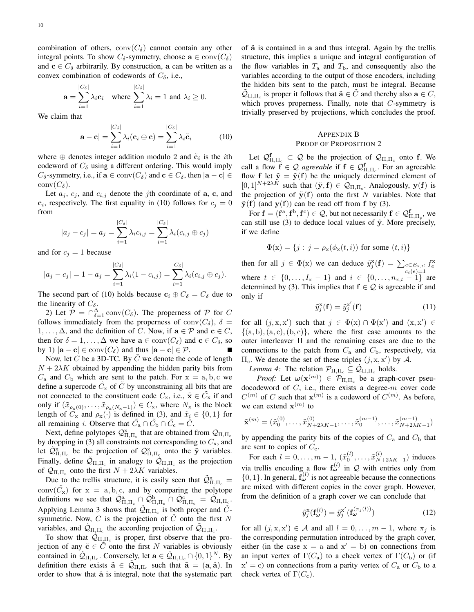combination of others,  $conv(C_{\delta})$  cannot contain any other integral points. To show  $C_{\delta}$ -symmetry, choose  $\mathbf{a} \in \text{conv}(C_{\delta})$ and  $c \in C_{\delta}$  arbitrarily. By construction, a can be written as a convex combination of codewords of  $C_{\delta}$ , i.e.,

$$
\mathbf{a} = \sum_{i=1}^{|C_{\delta}|} \lambda_i \mathbf{c}_i \quad \text{where } \sum_{i=1}^{|C_{\delta}|} \lambda_i = 1 \text{ and } \lambda_i \ge 0.
$$

We claim that

$$
|\mathbf{a} - \mathbf{c}| = \sum_{i=1}^{|C_{\delta}|} \lambda_i(\mathbf{c}_i \oplus \mathbf{c}) = \sum_{i=1}^{|C_{\delta}|} \lambda_i \tilde{\mathbf{c}}_i
$$
 (10)

where  $\oplus$  denotes integer addition modulo 2 and  $\tilde{\mathbf{c}}_i$  is the *i*th codeword of  $C_{\delta}$  using a different ordering. This would imply  $C_{\delta}$ -symmetry, i.e., if  $\mathbf{a} \in \text{conv}(C_{\delta})$  and  $\mathbf{c} \in C_{\delta}$ , then  $|\mathbf{a} - \mathbf{c}| \in$  $conv(C_{\delta}).$ 

Let  $a_j$ ,  $c_j$ , and  $c_{i,j}$  denote the *j*th coordinate of **a**, **c**, and  $c_i$ , respectively. The first equality in (10) follows for  $c_j = 0$ from

$$
|a_j - c_j| = a_j = \sum_{i=1}^{|C_{\delta}|} \lambda_i c_{i,j} = \sum_{i=1}^{|C_{\delta}|} \lambda_i (c_{i,j} \oplus c_j)
$$

and for  $c_i = 1$  because

$$
|a_j - c_j| = 1 - a_j = \sum_{i=1}^{|C_{\delta}|} \lambda_i (1 - c_{i,j}) = \sum_{i=1}^{|C_{\delta}|} \lambda_i (c_{i,j} \oplus c_j).
$$

The second part of (10) holds because  $c_i \oplus C_\delta = C_\delta$  due to the linearity of  $C_{\delta}$ .

2) Let  $P = \bigcap_{\delta=1}^{\Delta} conv(C_{\delta})$ . The properness of P for C follows immediately from the properness of conv $(C_{\delta})$ ,  $\delta =$  $1, \ldots, \Delta$ , and the definition of C. Now, if  $\mathbf{a} \in \mathcal{P}$  and  $\mathbf{c} \in C$ , then for  $\delta = 1, ..., \Delta$  we have  $\mathbf{a} \in \text{conv}(C_{\delta})$  and  $\mathbf{c} \in C_{\delta}$ , so by 1)  $|\mathbf{a} - \mathbf{c}| \in \text{conv}(C_{\delta})$  and thus  $|\mathbf{a} - \mathbf{c}| \in \mathcal{P}$ .  $\blacksquare$ 

Now, let  $C$  be a 3D-TC. By  $C$  we denote the code of length  $N + 2\lambda K$  obtained by appending the hidden parity bits from  $C_a$  and  $C_b$  which are sent to the patch. For  $x = a, b, c$  we define a supercode  $\tilde{C}_x$  of  $\tilde{C}$  by unconstraining all bits that are not connected to the constituent code  $C_x$ , i.e.,  $\tilde{\mathbf{x}} \in \tilde{C}_x$  if and only if  $(\tilde{x}_{\rho_x(0)}, \ldots, \tilde{x}_{\rho_x(N_x-1)}) \in C_x$ , where  $N_x$  is the block length of  $C_x$  and  $\rho_x(\cdot)$  is defined in (3), and  $\tilde{x}_i \in \{0,1\}$  for all remaining *i*. Observe that  $\tilde{C}_a \cap \tilde{C}_b \cap \tilde{C}_c = \tilde{C}$ .

Next, define polytopes  $\mathcal{Q}_{\Pi,\Pi_c}^{\mathbf{x}}$  that are obtained from  $\mathcal{Q}_{\Pi,\Pi_c}$ by dropping in (3) all constraints not corresponding to  $C_x$ , and let  $\tilde{Q}_{\Pi,\Pi_c}^{\rm x}$  be the projection of  $Q_{\Pi,\Pi_c}^{\rm x}$  onto the  $\tilde{\mathbf{y}}$  variables. Finally, define  $\tilde{Q}_{\Pi,\Pi_c}$  in analogy to  $\tilde{Q}_{\Pi,\Pi_c}$  as the projection of  $\mathcal{Q}_{\Pi,\Pi_c}$  onto the first  $N + 2\lambda K$  variables.

Due to the trellis structure, it is easily seen that  $\tilde{Q}_{\Pi,\Pi_c}^{\rm x}$  =  $conv(\tilde{C}_x)$  for  $x = a, b, c$ , and by comparing the polytope definitions we see that  $\tilde{\mathcal{Q}}_{\Pi,\Pi_c}^{\text{a}} \cap \tilde{\mathcal{Q}}_{\Pi,\Pi_c}^{\text{b}} \cap \tilde{\mathcal{Q}}_{\Pi,\Pi_c}^{\text{c}} = \tilde{\mathcal{Q}}_{\Pi,\Pi_c}$ . Applying Lemma 3 shows that  $\tilde{Q}_{\Pi,\Pi_c}$  is both proper and  $\tilde{C}$ symmetric. Now,  $C$  is the projection of  $\tilde{C}$  onto the first  $N$ variables, and  $\dot{Q}_{\Pi,\Pi_c}$  the according projection of  $\tilde{Q}_{\Pi,\Pi_c}$ .

To show that  $\mathcal{Q}_{\Pi_{\mu}\Pi_{c}}$  is proper, first observe that the projection of any  $\tilde{c} \in C$  onto the first N variables is obviously contained in  $\mathcal{Q}_{\Pi,\Pi_c}$ . Conversely, let  $\mathbf{a} \in \mathcal{Q}_{\Pi,\Pi_c} \cap \{0,1\}^N$ . By definition there exists  $\tilde{\mathbf{a}} \in \tilde{Q}_{\Pi,\Pi_c}$  such that  $\tilde{\mathbf{a}} = (\mathbf{a}, \hat{\mathbf{a}})$ . In order to show that  $\hat{a}$  is integral, note that the systematic part of  $\tilde{a}$  is contained in a and thus integral. Again by the trellis structure, this implies a unique and integral configuration of the flow variables in  $T_a$  and  $T_b$ , and consequently also the variables according to the output of those encoders, including the hidden bits sent to the patch, must be integral. Because  $\tilde{Q}_{\Pi,\Pi_c}$  is proper it follows that  $\tilde{\mathbf{a}} \in \tilde{C}$  and thereby also  $\mathbf{a} \in C$ , which proves properness. Finally, note that  $C$ -symmetry is trivially preserved by projections, which concludes the proof.

#### APPENDIX B PROOF OF PROPOSITION 2

Let  $\mathcal{Q}_{\Pi,\Pi_c}^{\mathbf{f}} \subset \mathcal{Q}$  be the projection of  $\mathcal{Q}_{\Pi,\Pi_c}$  onto f. We call a flow  $f \in \mathcal{Q}$  *agreeable* if  $f \in \mathcal{Q}_{\Pi,\Pi_c}^f$ . For an agreeable flow f let  $\tilde{y} = \tilde{y}(f)$  be the uniquely determined element of  $[0,1]^{N+2\lambda K}$  such that  $(\tilde{\mathbf{y}}, \mathbf{f}) \in \mathcal{Q}_{\Pi, \Pi_c}$ . Analogously,  $\mathbf{y}(\mathbf{f})$  is the projection of  $\tilde{\mathbf{y}}(\mathbf{f})$  onto the first N variables. Note that  $\tilde{\mathbf{y}}(\mathbf{f})$  (and  $\mathbf{y}(\mathbf{f})$ ) can be read off from f by (3).

For  $f = (f^a, f^b, f^c) \in \mathcal{Q}$ , but not necessarily  $f \in \mathcal{Q}_{\Pi, \Pi_c}^f$ , we can still use (3) to deduce local values of  $\tilde{y}$ . More precisely, if we define

$$
\Phi(\mathbf{x}) = \{j : j = \rho_{\mathbf{x}}(\phi_{\mathbf{x}}(t, i)) \text{ for some } (t, i)\}
$$

then for all  $j \in \Phi(x)$  we can deduce  $\tilde{y}_j^{\mathbf{x}}(\mathbf{f}) = \sum_{e \in E_{\mathbf{x},t}}$ .  $c_i(e)=1$  $f_e^{\rm x}$ where  $t \in \{0, ..., I_{x} - 1\}$  and  $i \in \{0, ..., n_{x,t} - 1\}$  are determined by (3). This implies that  $f \in \mathcal{Q}$  is agreeable if and only if

$$
\tilde{y}_j^{\mathbf{x}}(\mathbf{f}) = \tilde{y}_j^{\mathbf{x}'}(\mathbf{f}) \tag{11}
$$

for all  $(j, x, x')$  such that  $j \in \Phi(x) \cap \Phi(x')$  and  $(x, x') \in$  $\{(a, b), (a, c), (b, c)\}\$ , where the first case amounts to the outer interleaver Π and the remaining cases are due to the connections to the patch from  $C_a$  and  $C_b$ , respectively, via  $\Pi_c$ . We denote the set of these triples  $(j, x, x')$  by A.

*Lemma 4:* The relation  $\mathcal{P}_{\Pi,\Pi_c} \subseteq \mathcal{Q}_{\Pi,\Pi_c}$  holds.

*Proof:* Let  $\omega(\mathbf{x}^{(m)}) \in \mathcal{P}_{\Pi,\Pi_c}$  be a graph-cover pseudocodeword of  $C$ , i.e., there exists a degree- $m$  cover code  $C^{(m)}$  of C such that  $\mathbf{x}^{(m)}$  is a codeword of  $C^{(m)}$ . As before, we can extend  $\mathbf{x}^{(m)}$  to

$$
\tilde{\mathbf{x}}^{(m)} = (\tilde{x}_0^{(0)}, \dots, \tilde{x}_{N+2\lambda K-1}^{(0)}, \dots, \tilde{x}_0^{(m-1)}, \dots, \tilde{x}_{N+2\lambda K-1}^{(m-1)})
$$

by appending the parity bits of the copies of  $C_a$  and  $C_b$  that are sent to copies of  $C_c$ .

For each  $l = 0, \ldots, m - 1, \ (\tilde{x}_0^{(l)}, \ldots, \tilde{x}_N^{(l)})$  $\binom{V}{N+2\lambda K-1}$  induces via trellis encoding a flow  $f_{\omega}^{(l)}$  in Q with entries only from  $\{0, 1\}$ . In general,  $f_{\omega}^{(l)}$  is not agreeable because the connections are mixed with different copies in the cover graph. However, from the definition of a graph cover we can conclude that

$$
\tilde{y}_j^{\mathbf{x}}(\mathbf{f}_{\boldsymbol{\omega}}^{(l)}) = \tilde{y}_j^{\mathbf{x}'}(\mathbf{f}_{\boldsymbol{\omega}}^{(\pi_j(l))})
$$
\n(12)

for all  $(j, x, x') \in \mathcal{A}$  and all  $l = 0, \dots, m - 1$ , where  $\pi_j$  is the corresponding permutation introduced by the graph cover, either (in the case  $x = a$  and  $x' = b$ ) on connections from an input vertex of  $\Gamma(C_{\rm a})$  to a check vertex of  $\Gamma(C_{\rm b})$  or (if  $x' = c$ ) on connections from a parity vertex of  $C_a$  or  $C_b$  to a check vertex of  $\Gamma(C_c)$ .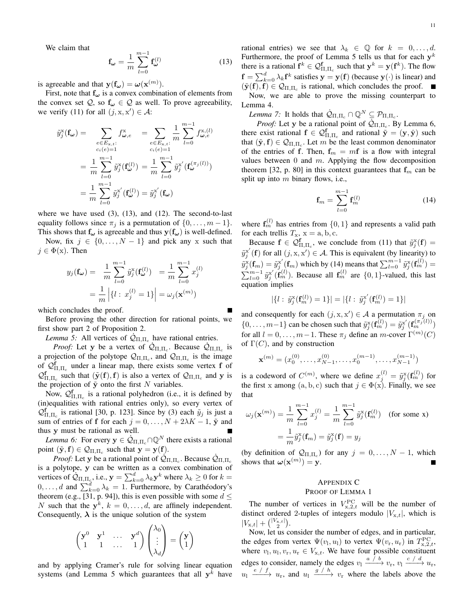We claim that

$$
\mathbf{f}_{\boldsymbol{\omega}} = \frac{1}{m} \sum_{l=0}^{m-1} \mathbf{f}_{\boldsymbol{\omega}}^{(l)} \tag{13}
$$

is agreeable and that  $y(f_{\omega}) = \omega(x^{(m)})$ .

First, note that  $f_{\omega}$  is a convex combination of elements from the convex set  $Q$ , so  $f_{\omega} \in Q$  as well. To prove agreeability, we verify (11) for all  $(j, x, x') \in \mathcal{A}$ :

$$
\tilde{y}_j^{\mathbf{x}}(\mathbf{f}_{\boldsymbol{\omega}}) = \sum_{\substack{e \in E_{\mathbf{x},t}: \\ c_i(e) = 1}} f_{\boldsymbol{\omega},e}^{\mathbf{x}} = \sum_{\substack{e \in E_{\mathbf{x},t}: \\ c_i(e) = 1}} \frac{1}{m} \sum_{l=0}^{m-1} f_{\boldsymbol{\omega},e}^{\mathbf{x},(l)}
$$
\n
$$
= \frac{1}{m} \sum_{l=0}^{m-1} \tilde{y}_j^{\mathbf{x}}(\mathbf{f}_{\boldsymbol{\omega}}^{(l)}) = \frac{1}{m} \sum_{l=0}^{m-1} \tilde{y}_j^{\mathbf{x}'}(\mathbf{f}_{\boldsymbol{\omega}}^{(\pi_j(l)})
$$
\n
$$
= \frac{1}{m} \sum_{l=0}^{m-1} \tilde{y}_j^{\mathbf{x}'}(\mathbf{f}_{\boldsymbol{\omega}}^{(l)}) = \tilde{y}_j^{\mathbf{x}'}(\mathbf{f}_{\boldsymbol{\omega}})
$$

where we have used  $(3)$ ,  $(13)$ , and  $(12)$ . The second-to-last equality follows since  $\pi_j$  is a permutation of  $\{0, \ldots, m-1\}$ .

This shows that  $f_{\omega}$  is agreeable and thus  $y(f_{\omega})$  is well-defined. Now, fix  $j \in \{0, ..., N-1\}$  and pick any x such that  $j \in \Phi(x)$ . Then

$$
y_j(\mathbf{f}_{\omega}) = \frac{1}{m} \sum_{l=0}^{m-1} \tilde{y}_j^{\mathbf{x}}(\mathbf{f}_{\omega}^{(l)}) = \frac{1}{m} \sum_{l=0}^{m-1} x_j^{(l)}
$$

$$
= \frac{1}{m} \left| \{ l : x_j^{(l)} = 1 \} \right| = \omega_j(\mathbf{x}^{(m)})
$$

which concludes the proof.

Before proving the other direction for rational points, we first show part 2 of Proposition 2.

*Lemma 5:* All vertices of  $\mathcal{Q}_{\Pi,\Pi_c}$  have rational entries.

*Proof:* Let y be a vertex of  $\hat{Q}_{\Pi,\Pi_c}$ . Because  $\hat{Q}_{\Pi,\Pi_c}$  is a projection of the polytope  $\mathcal{Q}_{\Pi,\Pi_c}$ , and  $\mathcal{Q}_{\Pi,\Pi_c}$  is the image of  $\mathcal{Q}_{\Pi,\Pi_c}^{\mathbf{f}}$  under a linear map, there exists some vertex f of  $\mathcal{Q}_{\Pi,\Pi_c}^{\mathbf{f}}$  such that  $(\tilde{\mathbf{y}}(\mathbf{f}), \mathbf{f})$  is also a vertex of  $\mathcal{Q}_{\Pi,\Pi_c}$  and y is the projection of  $\tilde{y}$  onto the first N variables.

Now,  $\mathcal{Q}_{\Pi,\Pi_c}^{\mathbf{f}}$  is a rational polyhedron (i.e., it is defined by (in)equalities with rational entries only), so every vertex of  $\mathcal{Q}_{\Pi,\Pi_c}^{\mathbf{f}}$  is rational [30, p. 123]. Since by (3) each  $\tilde{y}_j$  is just a sum of entries of f for each  $j = 0, ..., N + 2\lambda K - 1$ ,  $\tilde{y}$  and thus y must be rational as well.

*Lemma 6:* For every  $y \in \dot{Q}_{\Pi,\Pi_c} \cap \mathbb{Q}^N$  there exists a rational point  $(\tilde{y}, f) \in \mathcal{Q}_{\Pi, \Pi_c}$  such that  $y = y(f)$ .

*Proof:* Let y be a rational point of  $\hat{Q}_{\Pi,\Pi_c}$ . Because  $\hat{Q}_{\Pi,\Pi_c}$ is a polytope, y can be written as a convex combination of vertices of  $\hat{Q}_{\Pi,\Pi_{\varsigma}}$ , i.e.,  $\mathbf{y} = \sum_{k=0}^{d} \lambda_k \mathbf{y}^k$  where  $\lambda_k \ge 0$  for  $k =$  $0, \ldots, d$  and  $\sum_{k=0}^{d} \lambda_k = 1$ . Furthermore, by Carathéodory's theorem (e.g., [31, p. 94]), this is even possible with some  $d \leq$ N such that the  $y^k$ ,  $k = 0, \ldots, d$ , are affinely independent. Consequently,  $\lambda$  is the unique solution of the system

$$
\begin{pmatrix} \mathbf{y}^0 & \mathbf{y}^1 & \cdots & \mathbf{y}^d \\ 1 & 1 & \cdots & 1 \end{pmatrix} \begin{pmatrix} \lambda_0 \\ \vdots \\ \lambda_d \end{pmatrix} = \begin{pmatrix} \mathbf{y} \\ 1 \end{pmatrix}
$$

and by applying Cramer's rule for solving linear equation systems (and Lemma 5 which guarantees that all  $y^k$  have rational entries) we see that  $\lambda_k \in \mathbb{Q}$  for  $k = 0, \ldots, d$ . Furthermore, the proof of Lemma 5 tells us that for each  $y^k$ there is a rational  $f^k \in \mathcal{Q}_{\Pi,\Pi_c}^{\mathbf{f}}$  such that  $\mathbf{y}^k = \mathbf{y}(\mathbf{f}^k)$ . The flow  $f = \sum_{k=0}^{d} \lambda_k \mathbf{f}^k$  satisfies  $\mathbf{y} = \mathbf{y}(\mathbf{f})$  (because  $\mathbf{y}(\cdot)$  is linear) and  $(\tilde{\mathbf{y}}(\mathbf{f}), \mathbf{f}) \in \mathcal{Q}_{\Pi, \Pi_c}$  is rational, which concludes the proof.

Now, we are able to prove the missing counterpart to Lemma 4.

*Lemma 7:* It holds that  $\dot{\mathcal{Q}}_{\Pi,\Pi_{\rm c}} \cap \mathbb{Q}^N \subseteq \mathcal{P}_{\Pi,\Pi_{\rm c}}$ .

*Proof:* Let y be a rational point of  $\dot{Q}_{\Pi,\Pi_c}$ . By Lemma 6, there exist rational  $f \in \mathcal{Q}_{\Pi,\Pi_c}^f$  and rational  $\tilde{\mathbf{y}} = (\mathbf{y}, \hat{\mathbf{y}})$  such that  $(\tilde{\mathbf{y}}, \mathbf{f}) \in \mathcal{Q}_{\Pi, \Pi_c}$ . Let m be the least common denominator of the entries of f. Then,  $f_m = mf$  is a flow with integral values between  $0$  and  $m$ . Applying the flow decomposition theorem [32, p. 80] in this context guarantees that  $f_m$  can be split up into  $m$  binary flows, i.e.,

$$
\mathbf{f}_m = \sum_{l=0}^{m-1} \mathbf{f}_m^{(l)} \tag{14}
$$

where  $f_m^{(l)}$  has entries from  $\{0, 1\}$  and represents a valid path for each trellis  $T_x$ ,  $x = a, b, c$ .

Because  $f \in \mathcal{Q}_{\Pi,\Pi_c}^{\mathbf{f}}$ , we conclude from (11) that  $\tilde{y}_j^{\mathbf{x}}(\mathbf{f}) =$  $\tilde{y}^{x'}_j(f)$  for all  $(j, x, x') \in \mathcal{A}$ . This is equivalent (by linearity) to  $\tilde{y}_j^{\mathbf{x}}(\mathbf{f}_m) = \tilde{y}_j^{\mathbf{x}'}(\mathbf{f}_m)$  which by (14) means that  $\sum_{l=0}^{m-1} \tilde{y}_j^{\mathbf{x}}(\mathbf{f}_m^{(l)}) =$  $\sum_{l=0}^{m-1} \tilde{y}_j^{x'}(\mathbf{f}_m^{(l)})$ . Because all  $\mathbf{f}_m^{(l)}$  are  $\{0, 1\}$ -valued, this last equation implies

$$
|\{l:\;\tilde{y}_j^{\rm x}(\mathbf{f}_m^{(l)})=1\}|=|\{l:\;\tilde{y}_j^{\rm x'}(\mathbf{f}_m^{(l)})=1\}|
$$

and consequently for each  $(j, x, x') \in A$  a permutation  $\pi_j$  on  $\{0,\ldots,m-1\}$  can be chosen such that  $\tilde{y}_j^{\mathbf{x}}(\mathbf{f}_m^{(l)}) = \tilde{y}_j^{\mathbf{x}'}(\mathbf{f}_m^{(\pi_j(l))})$ for all  $l = 0, \ldots, m-1$ . These  $\pi_j$  define an m-cover  $\Gamma^{(m)}(C)$ of  $\Gamma(C)$ , and by construction

$$
\mathbf{x}^{(m)} = (x_0^{(0)}, \dots, x_{N-1}^{(0)}, \dots, x_0^{(m-1)}, \dots, x_{N-1}^{(m-1)})
$$

is a codeword of  $C^{(m)}$ , where we define  $x_j^{(l)} = \tilde{y}_j^{\mathbf{x}}(\mathbf{f}_m^{(l)})$  for the first x among  $(a, b, c)$  such that  $j \in \Phi(x)$ . Finally, we see that

$$
\omega_j(\mathbf{x}^{(m)}) = \frac{1}{m} \sum_{l=0}^{m-1} x_j^{(l)} = \frac{1}{m} \sum_{l=0}^{m-1} \tilde{y}_j^{\mathbf{x}}(\mathbf{f}_m^{(l)}) \quad \text{(for some x)}
$$

$$
= \frac{1}{m} \tilde{y}_j^{\mathbf{x}}(\mathbf{f}_m) = \tilde{y}_j^{\mathbf{x}}(\mathbf{f}) = y_j
$$

(by definition of  $\mathcal{Q}_{\Pi,\Pi_c}$ ) for any  $j = 0, \dots, N-1$ , which shows that  $\boldsymbol{\omega}(\mathbf{x}^{(m)}) = \mathbf{y}$ .

#### APPENDIX C PROOF OF LEMMA 1

The number of vertices in  $V_{\text{x,2},t}^{\text{PC}}$  will be the number of distinct ordered 2-tuples of integers modulo  $|V_{x,t}|$ , which is  $|V_{\mathbf{x},t}| + \binom{|V_{\mathbf{x},t}|}{2}.$ 

Now, let us consider the number of edges, and in particular, the edges from vertex  $\Psi(v_1, u_1)$  to vertex  $\Psi(v_{\rm r}, u_{\rm r})$  in  $T_{\rm x,2,t}^{\rm PC}$ , where  $v_1, u_1, v_r, u_r \in V_{x,t}$ . We have four possible constituent edges to consider, namely the edges  $v_1 \xrightarrow{a / b} v_r$ ,  $v_1 \xrightarrow{c / d} u_r$ ,  $u_1 \xrightarrow{e/f} u_r$ , and  $u_1 \xrightarrow{g/h} v_r$  where the labels above the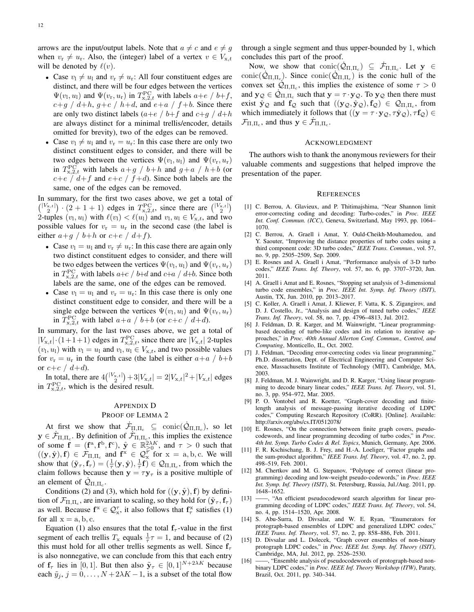arrows are the input/output labels. Note that  $a \neq c$  and  $e \neq g$ when  $v_r \neq u_r$ . Also, the (integer) label of a vertex  $v \in V_{x,t}$ will be denoted by  $\ell(v)$ .

- Case  $v_1 \neq u_1$  and  $v_r \neq u_r$ : All four constituent edges are distinct, and there will be four edges between the vertices  $\Psi(v_1, u_1)$  and  $\Psi(v_r, u_r)$  in  $T^{\text{PC}}_{\text{x},2,t}$  with labels  $a+e$  /  $b+f$ ,  $c+g$  /  $d+h$ ,  $g+c$  /  $h+d$ , and  $e+a$  /  $f+b$ . Since there are only two distinct labels  $(a+e / b+f$  and  $c+g / d+h$ are always distinct for a minimal trellis/encoder, details omitted for brevity), two of the edges can be removed.
- Case  $v_1 \neq u_1$  and  $v_r = u_r$ : In this case there are only two distinct constituent edges to consider, and there will be two edges between the vertices  $\Psi(v_l, u_l)$  and  $\Psi(v_r, u_r)$ in  $T_{\mathbf{x},2,t}^{\rm PC}$  with labels  $a+g$  /  $b+h$  and  $g+a$  /  $h+b$  (or  $c+e$  /  $d+f$  and  $e+c$  /  $f+d$ ). Since both labels are the same, one of the edges can be removed.

In summary, for the first two cases above, we get a total of  $\binom{|V_{\text{x},t}|}{2} \cdot (2+1+1)$  edges in  $T_{\text{x},2,t}^{\text{PC}}$ , since there are  $\binom{|V_{\text{x},t}|}{2}$ 2-tuples  $(v_1, u_1)$  with  $\ell(v_1) < \ell(u_1)$  and  $v_1, u_1 \in V_{x,t}$ , and two possible values for  $v_r = u_r$  in the second case (the label is either  $a+g$  /  $b+h$  or  $c+e$  /  $d+f$ ).

- Case  $v_1 = u_1$  and  $v_r \neq u_r$ : In this case there are again only two distinct constituent edges to consider, and there will be two edges between the vertices  $\Psi(v_l, u_l)$  and  $\Psi(v_r, u_r)$ in  $T_{\mathbf{x},2,t}^{\rm PC}$  with labels  $a+c$  /  $b+d$  and  $c+a$  /  $d+b$ . Since both labels are the same, one of the edges can be removed.
- Case  $v_1 = u_1$  and  $v_r = u_r$ : In this case there is only one distinct constituent edge to consider, and there will be a single edge between the vertices  $\Psi(v_l, u_l)$  and  $\Psi(v_r, u_r)$ in  $T_{\mathbf{x},2,t}^{\rm PC}$  with label  $a+a \; / \; b+b$  (or  $c+c \; / \; d+d$ ).

In summary, for the last two cases above, we get a total of  $|V_{x,t}| \cdot (1+1+1)$  edges in  $T_{x,2,t}^{\text{PC}}$ , since there are  $|V_{x,t}|$  2-tuples  $(v_1, u_1)$  with  $v_1 = u_1$  and  $v_1, u_1 \in V_{x,t}$ , and two possible values for  $v_r = u_r$  in the fourth case (the label is either  $a+a \; / \; b+b$ or  $c+c/d+d$ ).

In total, there are  $4\binom{|V_{x,t}|}{2} + 3|V_{x,t}| = 2|V_{x,t}|^2 + |V_{x,t}|$  edges in  $T_{\text{x},2,t}^{\text{PC}}$ , which is the desired result.

#### APPENDIX D

#### PROOF OF LEMMA 2

At first we show that  $\dot{\mathcal{F}}_{\Pi,\Pi_c} \subseteq \text{conic}(\dot{\mathcal{Q}}_{\Pi,\Pi_c})$ , so let  $y \in \dot{\mathcal{F}}_{\Pi,\Pi_c}$ . By definition of  $\dot{\mathcal{F}}_{\Pi,\Pi_c}$ , this implies the existence of some  $f = (f^a, f^b, f^c), \ \hat{y} \in \mathbb{R}_{\geq 0}^{2\lambda K}$ , and  $\tau > 0$  such that  $((y, \hat{y}), f) \in \mathcal{F}_{\Pi, \Pi_c}$  and  $f^x \in \mathcal{Q}_{x}^{\overline{\tau}}$  for  $x = a, b, c$ . We will show that  $(\tilde{\mathbf{y}}_{\tau}, \mathbf{f}_{\tau}) = (\frac{1}{\tau}(\mathbf{y}, \hat{\mathbf{y}}), \frac{1}{\tau} \mathbf{f}) \in \mathcal{Q}_{\Pi, \Pi_c}$ , from which the claim follows because then  $y = \tau y_\tau$  is a positive multiple of an element of  $\dot{Q}_{\Pi,\Pi_c}$ .

Conditions (2) and (3), which hold for  $((y, \hat{y}), f)$  by definition of  $\mathcal{F}_{\Pi,\Pi_c}$ , are invariant to scaling, so they hold for  $(\tilde{\mathbf{y}}_{\tau},\mathbf{f}_{\tau})$ as well. Because  $f^x \in \mathcal{Q}_{x}^{\tau}$ , it also follows that  $f_{\tau}^x$  satisfies (1) for all  $x = a, b, c$ .

Equation (1) also ensures that the total  $f_\tau$ -value in the first segment of each trellis  $T_x$  equals  $\frac{1}{\tau}\tau = 1$ , and because of (2) this must hold for all other trellis segments as well. Since  $f_\tau$ is also nonnegative, we can conclude from this that each entry of  $f_{\tau}$  lies in [0, 1]. But then also  $\tilde{y}_{\tau} \in [0, 1]^{N+2\lambda K}$  because each  $\tilde{y}_i$ ,  $j = 0, \ldots, N + 2\lambda K - 1$ , is a subset of the total flow through a single segment and thus upper-bounded by 1, which concludes this part of the proof.

Now, we show that  $conic(\dot{Q}_{\Pi,\Pi_c}) \subseteq \dot{\mathcal{F}}_{\Pi,\Pi_c}$ . Let  $y \in$ conic $(\dot{Q}_{\Pi,\Pi_c})$ . Since conic $(\dot{Q}_{\Pi,\Pi_c})$  is the conic hull of the convex set  $\mathcal{Q}_{\Pi,\Pi_c}$ , this implies the existence of some  $\tau > 0$ and  $y_Q \in \dot{Q}_{\Pi, \Pi_c}$  such that  $y = \tau \cdot y_Q$ . To  $y_Q$  then there must exist  $\hat{y}_Q$  and  $f_Q$  such that  $((y_Q, \hat{y}_Q), f_Q) \in \mathcal{Q}_{\Pi, \Pi_c}$ , from which immediately it follows that  $((y = \tau \cdot y_Q, \tau \hat{y}_Q), \tau f_Q) \in$  $\mathcal{F}_{\Pi,\Pi_c}$ , and thus  $\mathbf{y} \in \dot{\mathcal{F}}_{\Pi,\Pi_c}$ .

#### ACKNOWLEDGMENT

The authors wish to thank the anonymous reviewers for their valuable comments and suggestions that helped improve the presentation of the paper.

#### **REFERENCES**

- [1] C. Berrou, A. Glavieux, and P. Thitimajshima, "Near Shannon limit error-correcting coding and decoding: Turbo-codes," in *Proc. IEEE Int. Conf. Commun. (ICC)*, Geneva, Switzerland, May 1993, pp. 1064– 1070.
- [2] C. Berrou, A. Graell i Amat, Y. Ould-Cheikh-Mouhamedou, and Y. Saouter, "Improving the distance properties of turbo codes using a third component code: 3D turbo codes," *IEEE Trans. Commun.*, vol. 57, no. 9, pp. 2505–2509, Sep. 2009.
- [3] E. Rosnes and A. Graell i Amat, "Performance analysis of 3-D turbo codes," *IEEE Trans. Inf. Theory*, vol. 57, no. 6, pp. 3707–3720, Jun. 2011.
- [4] A. Graell i Amat and E. Rosnes, "Stopping set analysis of 3-dimensional turbo code ensembles," in *Proc. IEEE Int. Symp. Inf. Theory (ISIT)*, Austin, TX, Jun. 2010, pp. 2013–2017.
- [5] C. Koller, A. Graell i Amat, J. Kliewer, F. Vatta, K. S. Zigangirov, and D. J. Costello, Jr., "Analysis and design of tuned turbo codes," *IEEE Trans. Inf. Theory*, vol. 58, no. 7, pp. 4796–4813, Jul. 2012.
- [6] J. Feldman, D. R. Karger, and M. Wainwright, "Linear programmingbased decoding of turbo-like codes and its relation to iterative approaches," in *Proc. 40th Annual Allerton Conf. Commun., Control, and Computing*, Monticello, IL, Oct. 2002.
- [7] J. Feldman, "Decoding error-correcting codes via linear programming," Ph.D. dissertation, Dept. of Electrical Engineering and Computer Science, Massachusetts Institute of Technology (MIT), Cambridge, MA, 2003.
- [8] J. Feldman, M. J. Wainwright, and D. R. Karger, "Using linear programming to decode binary linear codes," *IEEE Trans. Inf. Theory*, vol. 51, no. 3, pp. 954–972, Mar. 2005.
- [9] P. O. Vontobel and R. Koetter, "Graph-cover decoding and finitelength analysis of message-passing iterative decoding of LDPC codes," Computing Research Repository (CoRR). [Online]. Available: http://arxiv.org/abs/cs.IT/0512078/
- [10] E. Rosnes, "On the connection between finite graph covers, pseudocodewords, and linear programming decoding of turbo codes," in *Proc. 4th Int. Symp. Turbo Codes & Rel. Topics*, Munich, Germany, Apr. 2006.
- [11] F. R. Kschischang, B. J. Frey, and H.-A. Loeliger, "Factor graphs and the sum-product algorithm," *IEEE Trans. Inf. Theory*, vol. 47, no. 2, pp. 498–519, Feb. 2001.
- [12] M. Chertkov and M. G. Stepanov, "Polytope of correct (linear programming) decoding and low-weight pseudo-codewords," in *Proc. IEEE Int. Symp. Inf. Theory (ISIT)*, St. Petersburg, Russia, Jul./Aug. 2011, pp. 1648–1652.
- [13] ——, "An efficient pseudocodeword search algorithm for linear programming decoding of LDPC codes," *IEEE Trans. Inf. Theory*, vol. 54, no. 4, pp. 1514–1520, Apr. 2008.
- [14] S. Abu-Surra, D. Divsalar, and W. E. Ryan, "Enumerators for protograph-based ensembles of LDPC and generalized LDPC codes,' *IEEE Trans. Inf. Theory*, vol. 57, no. 2, pp. 858–886, Feb. 2011.
- [15] D. Divsalar and L. Dolecek, "Graph cover ensembles of non-binary protograph LDPC codes," in *Proc. IEEE Int. Symp. Inf. Theory (ISIT)*, Cambridge, MA, Jul. 2012, pp. 2526–2530.
- [16] ——, "Ensemble analysis of pseudocodewords of protograph-based nonbinary LDPC codes," in *Proc. IEEE Inf. Theory Workshop (ITW)*, Paraty, Brazil, Oct. 2011, pp. 340–344.